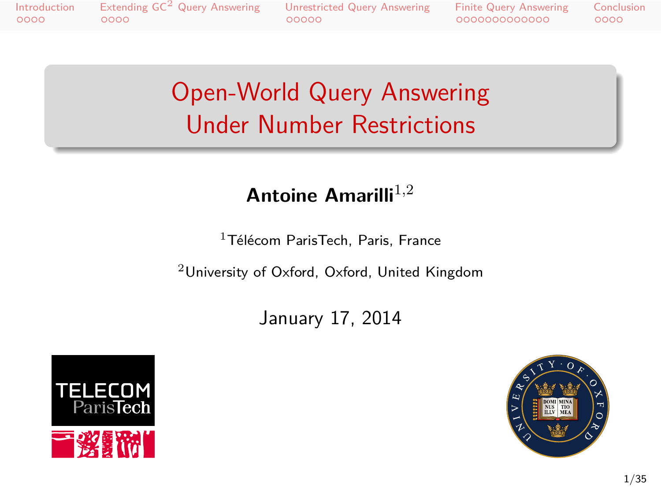Introduction Extending GC<sup>2</sup> Query Answering Unrestricted Query Answering Finite Query Answering Conclusion<br>0000 00000 0000 00000 00000 00000 0000

## Open-World Query Answering Under Number Restrictions

## **Antoine Amarilli**1*,*<sup>2</sup>

<sup>1</sup>Télécom ParisTech, Paris, France

<sup>2</sup>University of Oxford, Oxford, United Kingdom

January 17, 2014



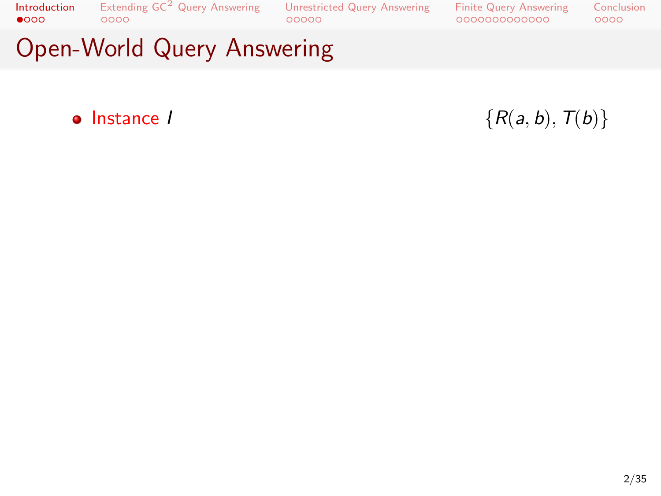Introduction<br>● 000 . . . . Extending GC<sup>2</sup> Query Answering . . . . . Unrestricted Query Answering . . . . . . . . . . . . . Finite Query Answering Conclusion<br>0000 Open-World Query Answering

 $\bullet$  **Instance** *I*  $\{R(a, b), T(b)\}$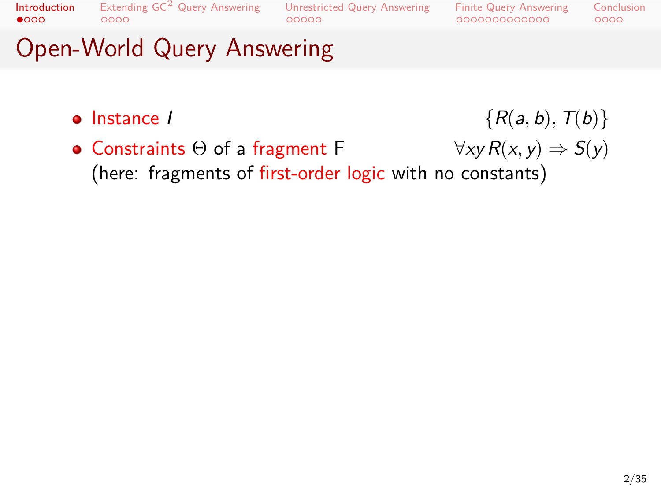Extending  $\mathsf{GC}^2$  Query Answering<br>0000

Unrestricted Query Answering<br>00000

Finite Query Answering<br>000000000000 Conclusion<br>0000

- 
- $\bullet$  **Instance** *I*  $\{R(a, b), T(b)\}$ • Constraints Θ of a fragment F  $\forall xy R(x, y) \Rightarrow S(y)$ (here: fragments of first-order logic with no constants)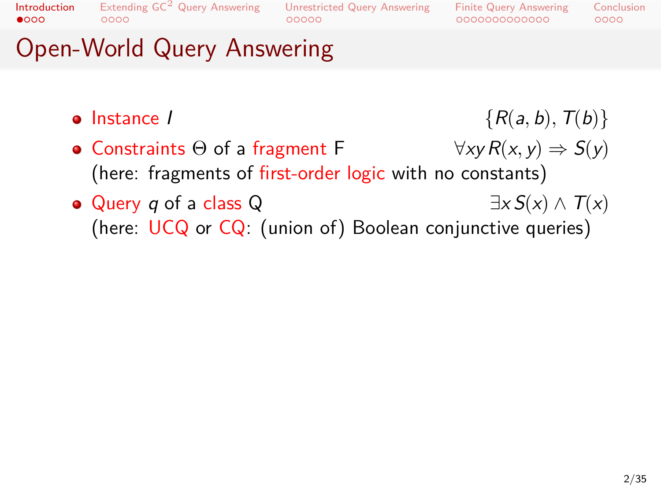Extending  $\mathsf{GC}^2$  Query Answering<br>0000

Unrestricted Query Answering<br>00000

Finite Query Answering<br>000000000000

## Open-World Query Answering

- $\bullet$  **Instance** *I*  $\{R(a, b), T(b)\}$ • Constraints Θ of a fragment F  $\forall xy R(x, y) \Rightarrow S(y)$
- (here: fragments of first-order logic with no constants)
- Query *q* of a class Q *∃x S*(*x*) *∧ T*(*x*) (here: UCQ or CQ: (union of) Boolean conjunctive queries)

Conclusion<br>0000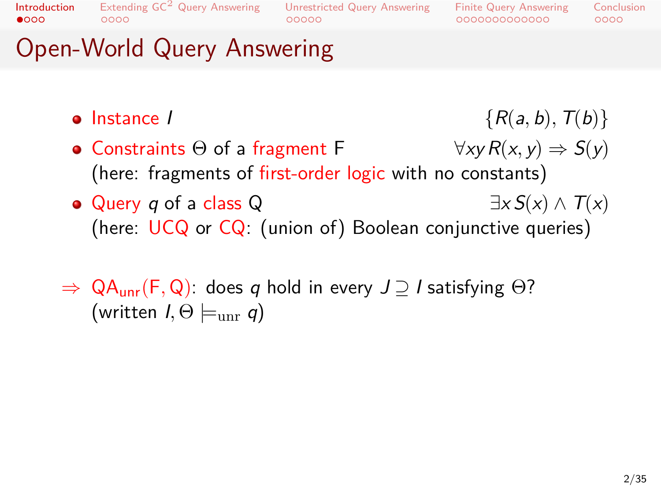## Extending GC<sup>2</sup> Query Answering Unrestricted Query Answering<br>00000 00000

Finite Query Answering<br>000000000000 Conclusion<br>0000

- $\bullet$  **Instance** *I*  $\{R(a, b), T(b)\}$ • Constraints Θ of a fragment F  $\forall xy R(x, y) \Rightarrow S(y)$
- (here: fragments of first-order logic with no constants)
- Query *q* of a class Q *∃x S*(*x*) *∧ T*(*x*) (here: UCQ or CQ: (union of) Boolean conjunctive queries)
- *⇒* QAunr(F*,* Q): does *q* hold in every *J ⊇ I* satisfying Θ? (written *I,* Θ *|*=unr *q*)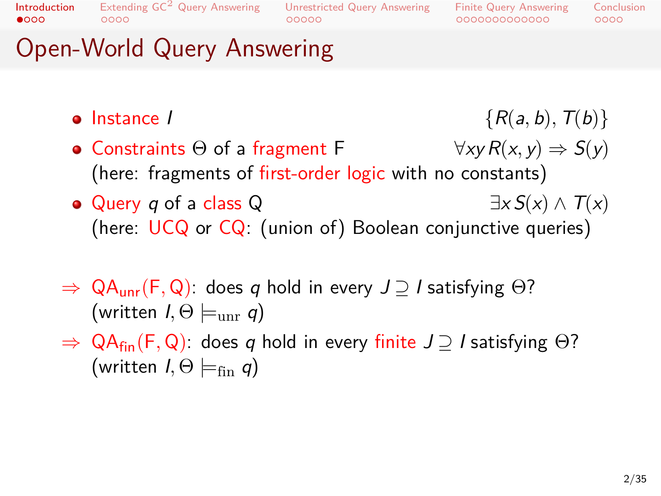$\bullet$  000 Introduction

## Extending GC<sup>2</sup> Query Answering Unrestricted Query Answering<br>00000 00000

Finite Query Answering<br>000000000000  $0000$ Conclusion

- $\bullet$  **Instance** *I*  $\{R(a, b), T(b)\}$
- Constraints Θ of a fragment F  $\forall xy R(x, y) \Rightarrow S(y)$ (here: fragments of first-order logic with no constants)
- Query *q* of a class Q *∃x S*(*x*) *∧ T*(*x*) (here: UCQ or CQ: (union of) Boolean conjunctive queries)
- *⇒* QAunr(F*,* Q): does *q* hold in every *J ⊇ I* satisfying Θ?  $(written I, \Theta \models_{unr} q)$
- *⇒* QAfin(F*,* Q): does *q* hold in every finite *J ⊇ I* satisfying Θ?  $(written I, \Theta \models_{fin} q)$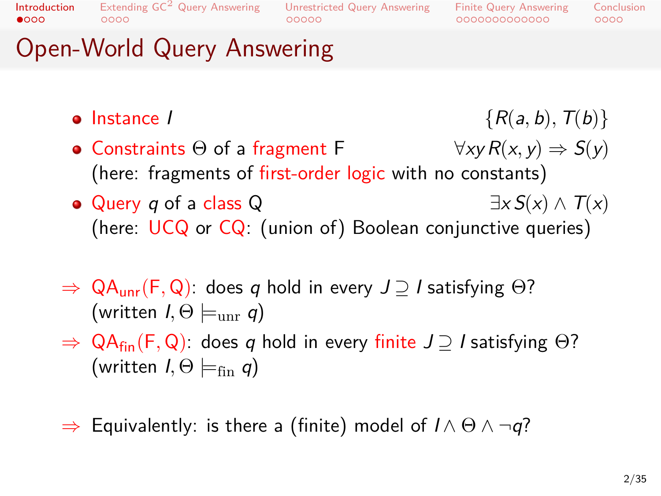$\bullet$  000 Introduction

## Extending GC<sup>2</sup> Query Answering Unrestricted Query Answering<br>00000 00000

Finite Query Answering<br>000000000000  $0000$ Conclusion

- $\bullet$  **Instance** *I*  $\{R(a, b), T(b)\}$
- Constraints Θ of a fragment F  $\forall xy R(x, y) \Rightarrow S(y)$ (here: fragments of first-order logic with no constants)
- Query *q* of a class Q *∃x S*(*x*) *∧ T*(*x*) (here: UCQ or CQ: (union of) Boolean conjunctive queries)
- *⇒* QAunr(F*,* Q): does *q* hold in every *J ⊇ I* satisfying Θ?  $(written I, \Theta \models_{unr} q)$
- *⇒* QAfin(F*,* Q): does *q* hold in every finite *J ⊇ I* satisfying Θ?  $(written I, \Theta \models_{fin} q)$
- *⇒* Equivalently: is there a (finite) model of *I ∧* Θ *∧ ¬q*?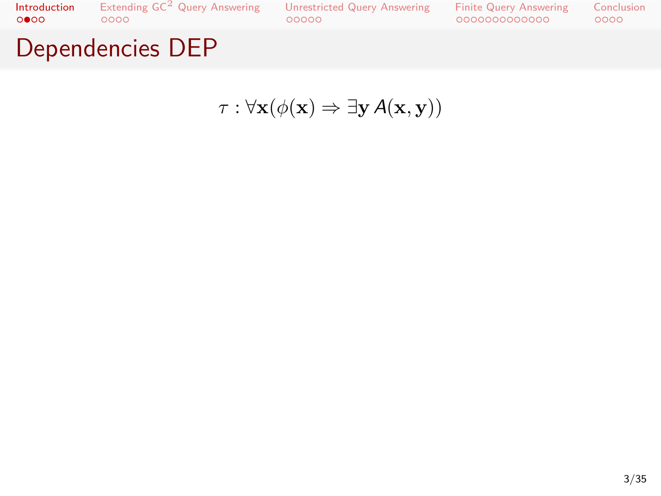

*τ* : *∀***x**(*ϕ*(**x**) *⇒ ∃***y***A*(**x***,* **y**))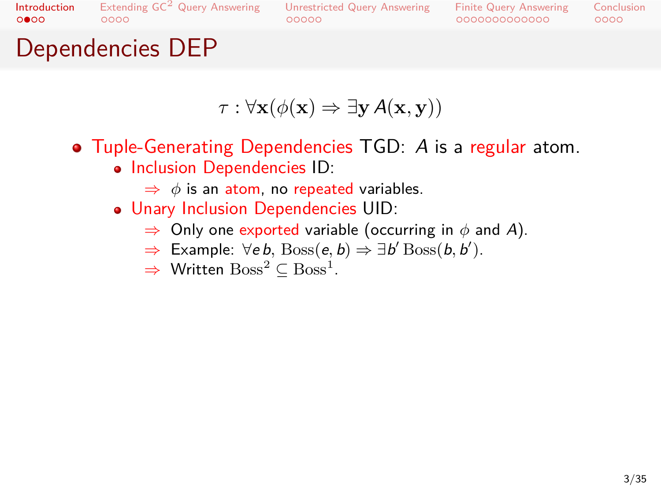### Extending  $\mathsf{GC}^2$  Query Answering<br>0000 Unrestricted Query Answering<br>00000

Finite Query Answering<br>000000000000 Conclusion<br>0000

## Dependencies DEP

$$
\tau: \forall \mathbf{x} (\phi(\mathbf{x}) \Rightarrow \exists \mathbf{y} \, A(\mathbf{x}, \mathbf{y}))
$$

- Tuple-Generating Dependencies TGD: *A* is a regular atom. • Inclusion Dependencies ID:
	- *⇒ ϕ* is an atom, no repeated variables.
	- Unary Inclusion Dependencies UID:
		- *⇒* Only one exported variable (occurring in *ϕ* and *A*).
		- *⇒* Example: *∀e b,* Boss(*e, b*) *⇒ ∃b ′* Boss(*b, b ′* ).
		- → Written  $\mathrm{Boss}^2 \subseteq \mathrm{Boss}^1$ .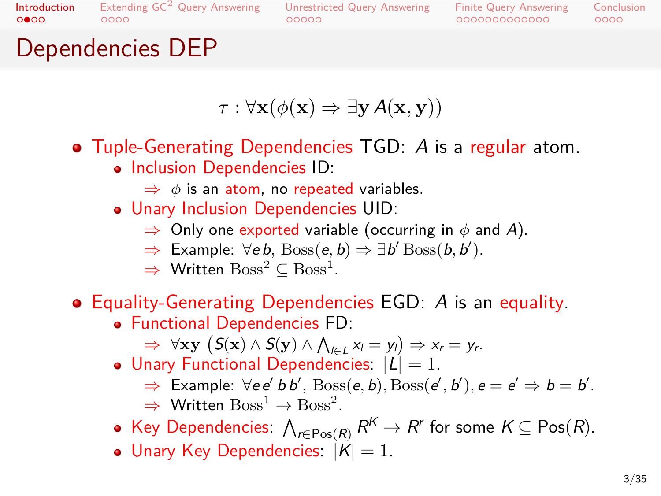$\circ \bullet \circ \circ$ Introduction

### Extending GC<sup>2</sup> Query Answering  $00000$ Unrestricted Query Answering

Finite Query Answering<br>000000000000  $0000$ Conclusion

## $0000$ Dependencies DEP

$$
\tau : \forall \mathbf{x} (\phi(\mathbf{x}) \Rightarrow \exists \mathbf{y} \, A(\mathbf{x}, \mathbf{y}))
$$

- Tuple-Generating Dependencies TGD: *A* is a regular atom. • Inclusion Dependencies ID:
	- *⇒ ϕ* is an atom, no repeated variables.
	- Unary Inclusion Dependencies UID:
		- *⇒* Only one exported variable (occurring in *ϕ* and *A*).
		- *⇒* Example: *∀e b,* Boss(*e, b*) *⇒ ∃b ′* Boss(*b, b ′* ).
		- → Written  $\mathrm{Boss}^2 \subseteq \mathrm{Boss}^1$ .
- Equality-Generating Dependencies EGD: *A* is an equality.
	- Functional Dependencies FD:  $\Rightarrow$   $\forall$ **xy** (S(**x**) ∧ S(**y**) ∧  $\bigwedge_{l \in L} x_l = y_l$ )  $\Rightarrow$   $x_r = y_r$ .
	- $\bullet$  Unary Functional Dependencies:  $|L| = 1$ .
		- $\Rightarrow$  Example:  $\forall e e' b b', \text{Boss}(e, b), \text{Boss}(e', b'), e = e' \Rightarrow b = b'.$  $\Rightarrow$  Written  $\text{Boss}^1 \to \text{Boss}^2$ .
	- $\mathsf{Key}$  Dependencies:  $\bigwedge_{r \in \mathsf{Pos}(R)} R^{\mathsf{K}} \to R^r$  for some  $\mathsf{K} \subseteq \mathsf{Pos}(R)$ .
	- $\bullet$  Unary Key Dependencies:  $|\acute{K}|=1$ .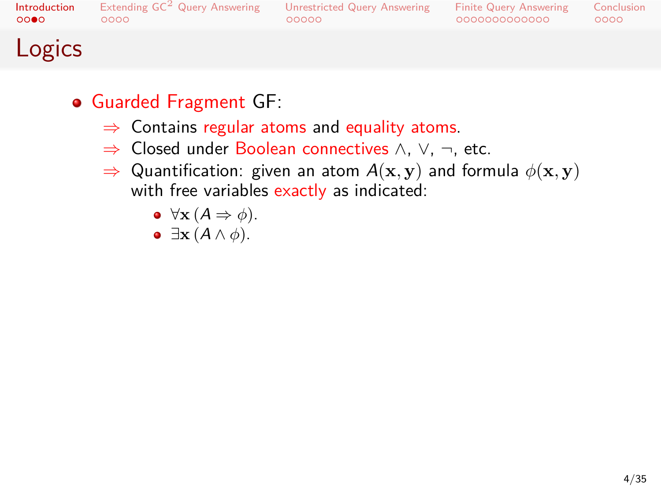## Extending GC<sup>2</sup> Query Answering Unrestricted Query Answering<br>00000 00000

Finite Query Answering<br>000000000000 Conclusion<br>0000

## Logics

## Guarded Fragment GF:

- *⇒* Contains regular atoms and equality atoms.
- *⇒* Closed under Boolean connectives *∧*, *∨*, *¬*, etc.
- *⇒* Quantification: given an atom *A*(**x***,* **y**) and formula *ϕ*(**x***,* **y**) with free variables exactly as indicated:
	- *∀***x** (*A ⇒ ϕ*).
	- *∃***x** (*A ∧ ϕ*).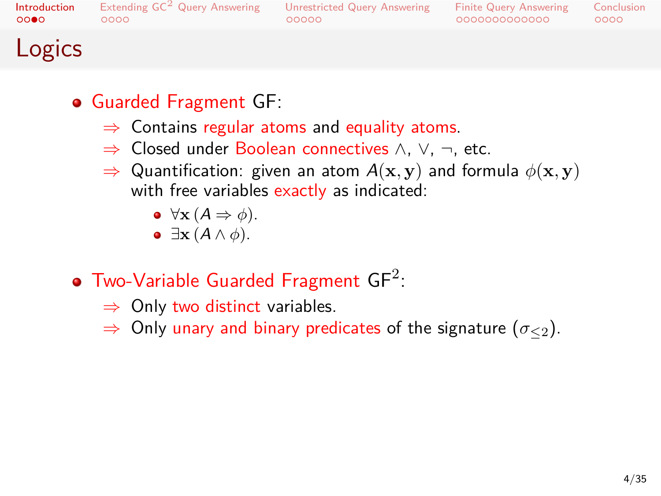## . . . . Extending GC<sup>2</sup> Query Answering . . . . . Unrestricted Query Answering . . . . . . . . . . . . . Finite Query Answering

 $0000$ Conclusion

## Logics

### Guarded Fragment GF:

- *⇒* Contains regular atoms and equality atoms.
- *⇒* Closed under Boolean connectives *∧*, *∨*, *¬*, etc.
- *⇒* Quantification: given an atom *A*(**x***,* **y**) and formula *ϕ*(**x***,* **y**) with free variables exactly as indicated:
	- *∀***x** (*A ⇒ ϕ*).
	- *∃***x** (*A ∧ ϕ*).

## Two-Variable Guarded Fragment  $GF^2$ :

- *⇒* Only two distinct variables.
- *⇒* Only unary and binary predicates of the signature (*σ≤*<sup>2</sup>).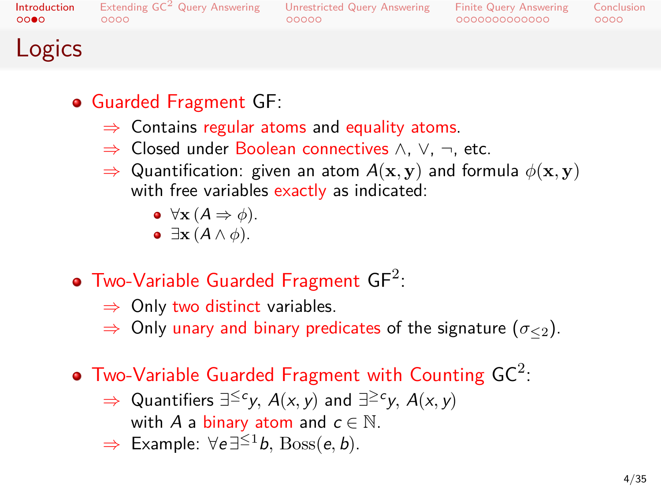$0000$ 

### Extending  $GC^2$  Query Answering burestricted Query Answering  $00000$

Finite Query Answering<br>000000000000  $0000$ **Conclusion** 

## Logics

### Guarded Fragment GF:

- *⇒* Contains regular atoms and equality atoms.
- *⇒* Closed under Boolean connectives *∧*, *∨*, *¬*, etc.
- *⇒* Quantification: given an atom *A*(**x***,* **y**) and formula *ϕ*(**x***,* **y**) with free variables exactly as indicated:
	- *∀***x** (*A ⇒ ϕ*).
	- *∃***x** (*A ∧ ϕ*).

## Two-Variable Guarded Fragment  $GF^2$ :

- *⇒* Only two distinct variables.
- *⇒* Only unary and binary predicates of the signature (*σ≤*<sup>2</sup>).

## Two-Variable Guarded Fragment with Counting  $\mathsf{GC}^2$ :

- $\Rightarrow$  Quantifiers  $\exists^{\leq c} y$ , *A*(*x*, *y*) and  $\exists^{\geq c} y$ , *A*(*x*, *y*) with *A* a binary atom and  $c \in \mathbb{N}$ .
- *⇒* Example: *∀e ∃ <sup>≤</sup>*<sup>1</sup>*b,* Boss(*e, b*).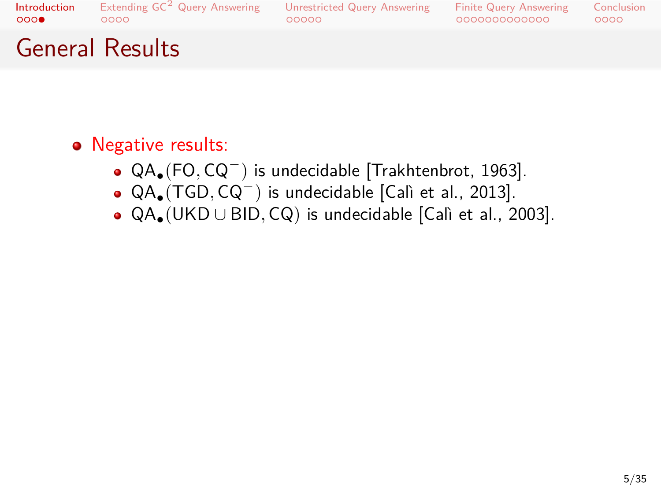Introduction<br>0000 Extending  $\mathsf{GC}^2$  Query Answering<br>0000

## Unrestricted Query Answering<br>00000

Finite Query Answering<br>000000000000 Conclusion<br>0000

## General Results

- Negative results:
	- QA*•*(FO*,* CQ*<sup>−</sup>* ) is undecidable [Trakhtenbrot, 1963].
	- QA*•*(TGD*,* CQ*<sup>−</sup>* ) is undecidable [Calì et al., 2013].
	- QA*•*(UKD *∪* BID*,* CQ) is undecidable [Calì et al., 2003].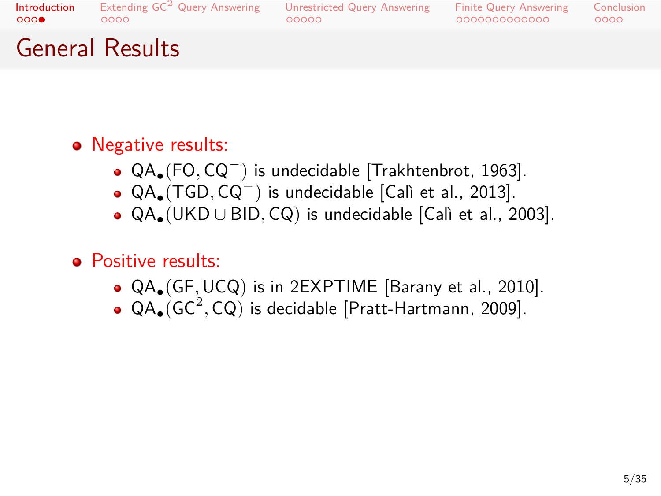### Introduction<br>0000 Extending  $\mathsf{GC}^2$  Query Answering<br>0000

## Unrestricted Query Answering<br>00000

Finite Query Answering<br>000000000000 Conclusion<br>0000

## General Results

- Negative results:
	- QA*•*(FO*,* CQ*<sup>−</sup>* ) is undecidable [Trakhtenbrot, 1963].
	- QA*•*(TGD*,* CQ*<sup>−</sup>* ) is undecidable [Calì et al., 2013].
	- QA*•*(UKD *∪* BID*,* CQ) is undecidable [Calì et al., 2003].
- Positive results:
	- QA*•*(GF*,*UCQ) is in 2EXPTIME [Barany et al., 2010].
	- QA<sub>•</sub>(GC<sup>2</sup>, CQ) is decidable [Pratt-Hartmann, 2009].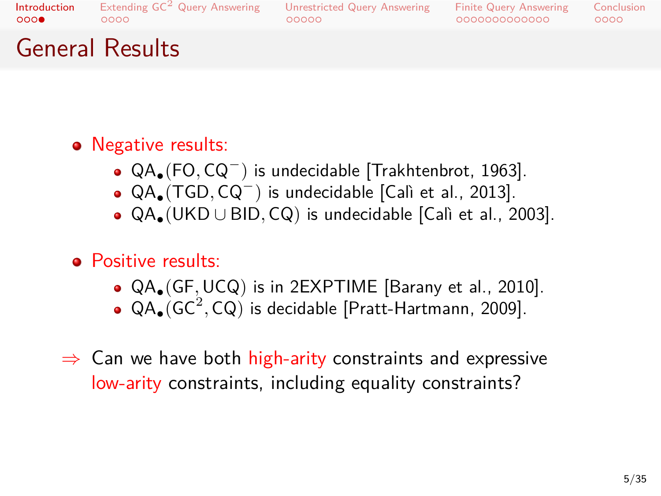### Introduction<br>0000 Extending  $\mathsf{GC}^2$  Query Answering<br>0000

### $00000$ Unrestricted Query Answering

Finite Query Answering<br>000000000000  $0000$ **Conclusion** 

## General Results

- Negative results:
	- QA*•*(FO*,* CQ*<sup>−</sup>* ) is undecidable [Trakhtenbrot, 1963].
	- QA*•*(TGD*,* CQ*<sup>−</sup>* ) is undecidable [Calì et al., 2013].
	- QA*•*(UKD *∪* BID*,* CQ) is undecidable [Calì et al., 2003].
- Positive results:
	- QA*•*(GF*,*UCQ) is in 2EXPTIME [Barany et al., 2010].
	- QA<sub>•</sub>(GC<sup>2</sup>, CQ) is decidable [Pratt-Hartmann, 2009].
- *⇒* Can we have both high-arity constraints and expressive low-arity constraints, including equality constraints?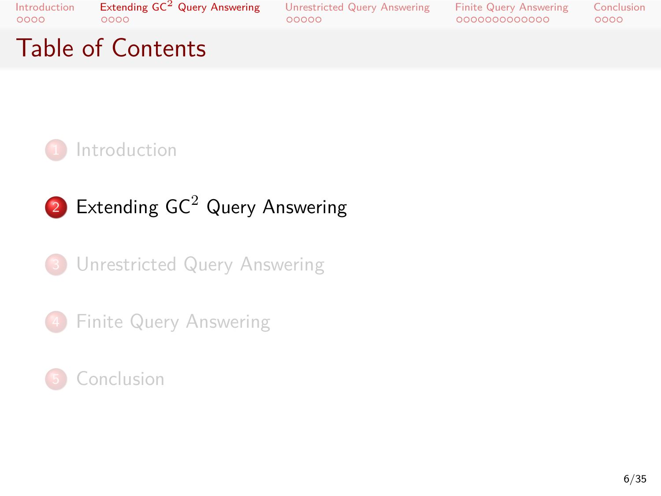Introduction<br>0000 Extending GC<sup>2</sup> Query Answering<br>0000

. . . . . Unrestricted Query Answering . . . . . . . . . . . . . Finite Query Answering

Conclusion<br>0000

# Table of Contents



 $2$  Extending GC $2$  Query Answering

.<sup>3</sup> Unrestricted Query Answering

4 Finite Query Answering

.<sup>5</sup> Conclusion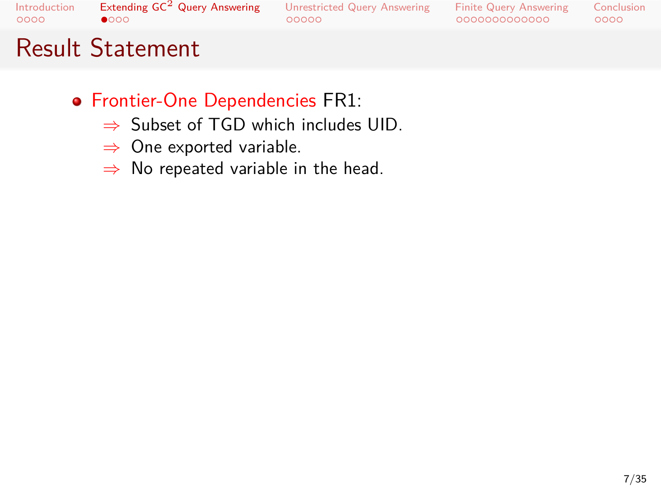### Extending  $\mathsf{GC}^2$  Query Answering<br> $\bullet$ 000 Unrestricted Query Answering<br>00000

Finite Query Answering<br>000000000000 Conclusion<br>0000

## Result Statement

- Frontier-One Dependencies FR1:
	- *⇒* Subset of TGD which includes UID.
	- *⇒* One exported variable.
	- *⇒* No repeated variable in the head.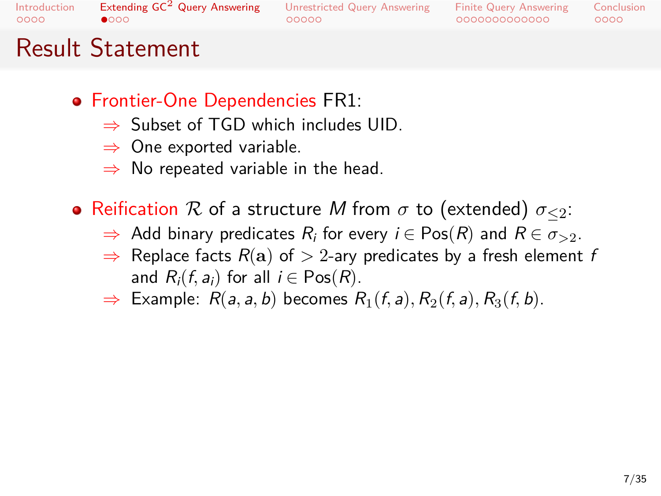## Extending  $\mathsf{GC}^2$  Query Answering<br> $\bullet$ 000

## Unrestricted Query Answering

Finite Query Answering<br>000000000000  $0000$ Conclusion

## Result Statement

- Frontier-One Dependencies FR1:
	- *⇒* Subset of TGD which includes UID.
	- *⇒* One exported variable.
	- *⇒* No repeated variable in the head.
- Reification *R* of a structure *M* from *σ* to (extended) *σ≤*2:

 $00000$ 

- $\Rightarrow$  Add binary predicates  $R_i$  for every  $i \in Pos(R)$  and  $R \in \sigma_{>2}$ .
- *⇒* Replace facts *R*(**a**) of *>* 2-ary predicates by a fresh element *f* and  $R_i(f, a_i)$  for all  $i \in \text{Pos}(R)$ .
- $\Rightarrow$  Example:  $R(a, a, b)$  becomes  $R_1(f, a), R_2(f, a), R_3(f, b)$ .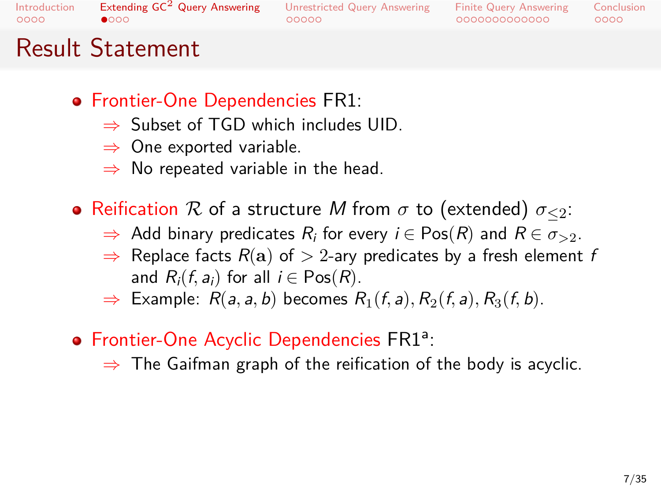### Extending  $\mathsf{GC}^2$  Query Answering<br> $\bullet$ 000  $00000$

## Unrestricted Query Answering

Finite Query Answering<br>000000000000  $0000$ Conclusion

## Result Statement

- Frontier-One Dependencies FR1:
	- *⇒* Subset of TGD which includes UID.
	- *⇒* One exported variable.
	- *⇒* No repeated variable in the head.
- Reification *R* of a structure *M* from *σ* to (extended) *σ≤*2:
	- $\Rightarrow$  Add binary predicates  $R_i$  for every  $i \in Pos(R)$  and  $R \in \sigma_{>2}$ .
	- *⇒* Replace facts *R*(**a**) of *>* 2-ary predicates by a fresh element *f* and  $R_i(f, a_i)$  for all  $i \in \text{Pos}(R)$ .
	- $\Rightarrow$  Example:  $R(a, a, b)$  becomes  $R_1(f, a), R_2(f, a), R_3(f, b)$ .
- Frontier-One Acyclic Dependencies FR1<sup>a</sup>:
	- *⇒* The Gaifman graph of the reification of the body is acyclic.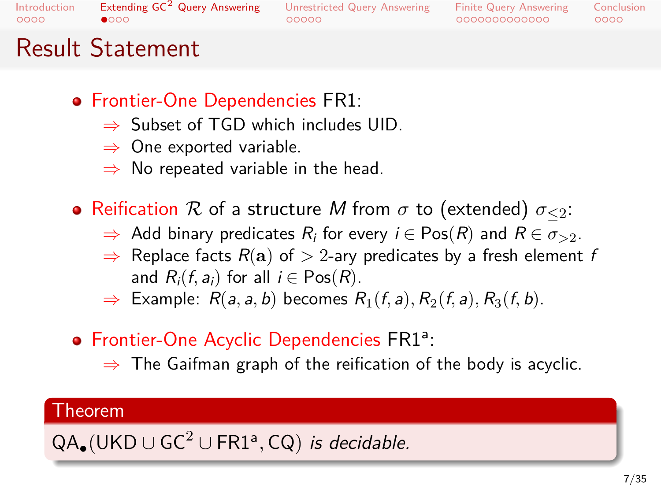### Extending  $\mathsf{GC}^2$  Query Answering<br> $\bullet$ 000  $00000$ Unrestricted Query Answering

Finite Query Answering<br>000000000000  $0000$ Conclusion

## Result Statement

- Frontier-One Dependencies FR1:
	- *⇒* Subset of TGD which includes UID.
	- *⇒* One exported variable.
	- *⇒* No repeated variable in the head.
- Reification *R* of a structure *M* from *σ* to (extended) *σ≤*2:
	- $\Rightarrow$  Add binary predicates  $R_i$  for every  $i \in Pos(R)$  and  $R \in \sigma_{>2}$ .
	- *⇒* Replace facts *R*(**a**) of *>* 2-ary predicates by a fresh element *f* and  $R_i(f, a_i)$  for all  $i \in \text{Pos}(R)$ .
	- $\Rightarrow$  Example:  $R(a, a, b)$  becomes  $R_1(f, a), R_2(f, a), R_3(f, b)$ .
- Frontier-One Acyclic Dependencies FR1<sup>a</sup>:
	- *⇒* The Gaifman graph of the reification of the body is acyclic.

# . Theorem .

.QA*•*(UKD *<sup>∪</sup>* GC<sup>2</sup> *<sup>∪</sup>* FR1<sup>a</sup> *,* CQ) *is decidable.*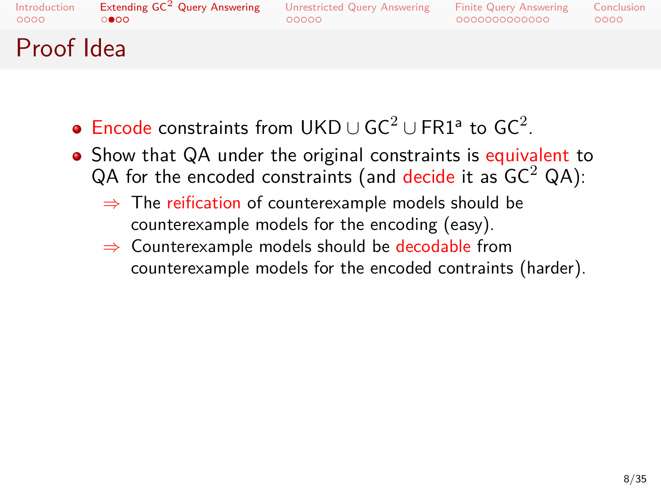### Extending GC<sup>2</sup> Query Answering<br>○●○○  $00000$ Unrestricted Query Answering

Finite Query Answering<br>000000000000  $0000$ Conclusion

## Proof Idea

- Encode constraints from UKD  $\cup$  GC<sup>2</sup>  $\cup$  FR1<sup>a</sup> to GC<sup>2</sup>.
- Show that QA under the original constraints is equivalent to QA for the encoded constraints (and decide it as  $GC^2$  QA):
	- *⇒* The reification of counterexample models should be counterexample models for the encoding (easy).
	- *⇒* Counterexample models should be decodable from counterexample models for the encoded contraints (harder).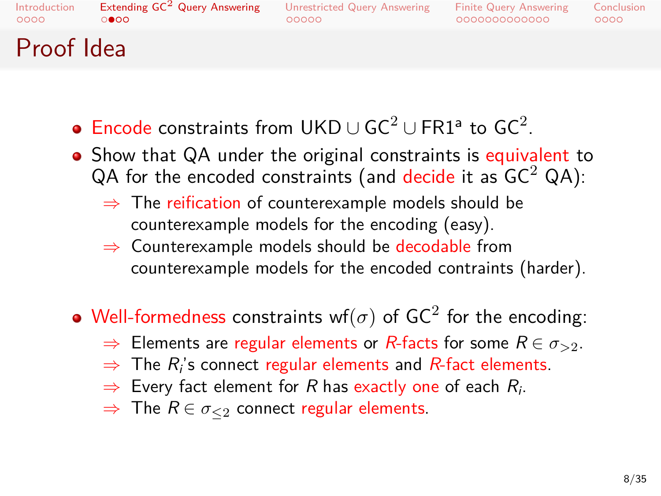### Extending GC<sup>2</sup> Query Answering Unrestricted Query Answering

Finite Query Answering<br>000000000000  $0000$ Conclusion

## Proof Idea

 $\circ \bullet \circ \circ$ 

Encode constraints from UKD  $\cup$  GC<sup>2</sup>  $\cup$  FR1<sup>a</sup> to GC<sup>2</sup>.

 $00000$ 

- Show that QA under the original constraints is equivalent to  $QA$  for the encoded constraints (and decide it as  $GC^2$  QA):
	- *⇒* The reification of counterexample models should be counterexample models for the encoding (easy).
	- *⇒* Counterexample models should be decodable from counterexample models for the encoded contraints (harder).
- Well-formedness constraints wf $(\sigma)$  of GC<sup>2</sup> for the encoding:
	- $\Rightarrow$  Elements are regular elements or *R*-facts for some *R* ∈  $\sigma$ <sub>>2</sub>.
	- *⇒* The *R<sup>i</sup>* 's connect regular elements and *R*-fact elements.
	- *⇒* Every fact element for *R* has exactly one of each *R<sup>i</sup>* .
	- *⇒* The *R ∈ σ≤*<sup>2</sup> connect regular elements.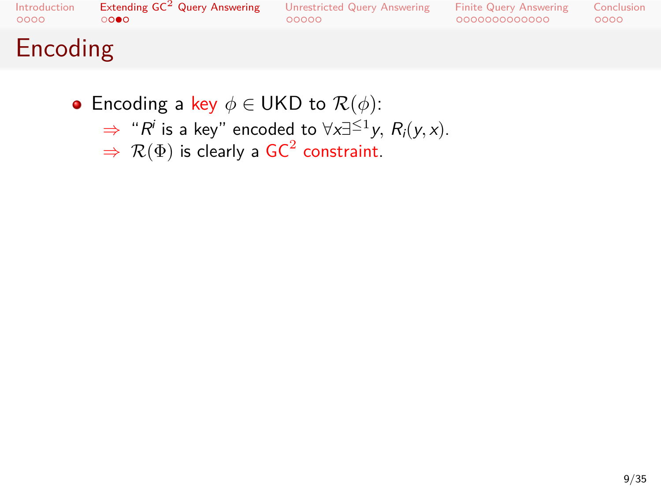## . . . . Extending GC<sup>2</sup> Query Answering . . . . . Unrestricted Query Answering . . . . . . . . . . . . . Finite Query Answering

Conclusion<br>0000

# Encoding

- Encoding a key *ϕ ∈* UKD to *R*(*ϕ*):
	- $⇒$  " $R^i$  is a key" encoded to  $∀x∃≤1y, R_i(y, x)$ .
	- $\Rightarrow$   $\mathcal{R}(\Phi)$  is clearly a GC<sup>2</sup> constraint.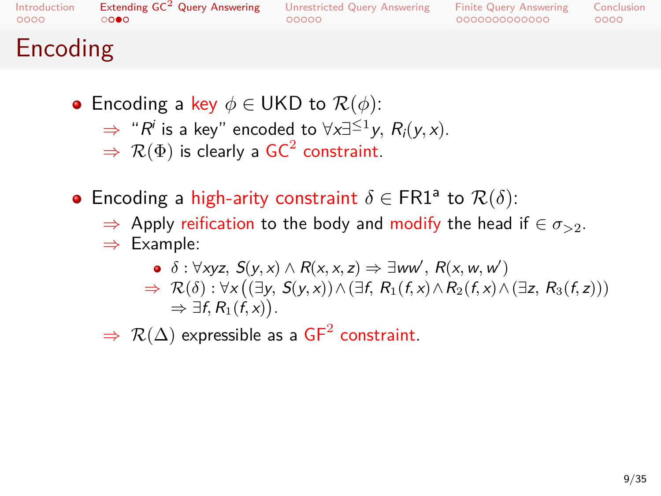Introduction<br>0000  $\overline{\circ}$ 

## Extending  $GC^2$  Query Answering

. . . . . Unrestricted Query Answering . . . . . . . . . . . . . Finite Query Answering  $0000$ Conclusion

## Encoding

- Encoding a key *ϕ ∈* UKD to *R*(*ϕ*):
	- $⇒$  " $R^i$  is a key" encoded to  $∀x∃≤1y, R_i(y, x)$ .
	- $\Rightarrow$   $\mathcal{R}(\Phi)$  is clearly a GC<sup>2</sup> constraint.
- Encoding a high-arity constraint  $\delta \in \text{FR1}^{\text{a}}$  to  $\mathcal{R}(\delta)$ :
	- *⇒* Apply reification to the body and modify the head if *∈ σ>*2.
	- *⇒* Example:
		- $\delta: \forall x$ yz,  $S(y, x) \wedge R(x, x, z) \Rightarrow \exists ww', R(x, w, w')$  $\Rightarrow \mathcal{R}(\delta): \forall x ((\exists y, S(y, x)) \land (\exists f, R_1(f, x) \land R_2(f, x) \land (\exists z, R_3(f, z)))$  $\Rightarrow \exists f, R_1(\hat{f}, x)$ .
	- $\Rightarrow$   $\mathcal{R}(\Delta)$  expressible as a  $\mathsf{GF}^2$  constraint.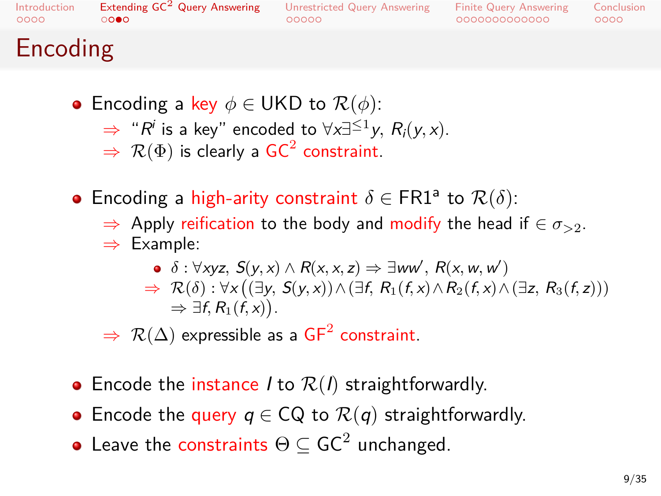Introduction<br>0000  $\overline{\circ}$ 

### Extending  $GC^2$  Query Answering  $00000$ Unrestricted Query Answering

Finite Query Answering<br>000000000000  $0000$ Conclusion

## Encoding

- Encoding a key *ϕ ∈* UKD to *R*(*ϕ*):
	- $⇒$  " $R^i$  is a key" encoded to  $∀x∃≤1y, R_i(y, x)$ .
	- $\Rightarrow$   $\mathcal{R}(\Phi)$  is clearly a GC<sup>2</sup> constraint.
- Encoding a high-arity constraint  $\delta \in \text{FR1}^{\text{a}}$  to  $\mathcal{R}(\delta)$ :
	- *⇒* Apply reification to the body and modify the head if *∈ σ>*2. *⇒* Example:
		- $\delta: \forall x$ yz,  $S(y, x) \wedge R(x, x, z) \Rightarrow \exists ww', R(x, w, w')$  $\Rightarrow \mathcal{R}(\delta): \forall x ((\exists y, S(y, x)) \land (\exists f, R_1(f, x) \land R_2(f, x) \land (\exists z, R_3(f, z)))$  $\Rightarrow \exists f, R_1(\hat{f}, x)$ .
	- $\Rightarrow$   $\mathcal{R}(\Delta)$  expressible as a  $\mathsf{GF}^2$  constraint.
- Encode the instance *I* to  $R(I)$  straightforwardly.
- Encode the query *q ∈* CQ to *R*(*q*) straightforwardly.
- Leave the constraints  $\Theta \subseteq \mathsf{GC}^2$  unchanged.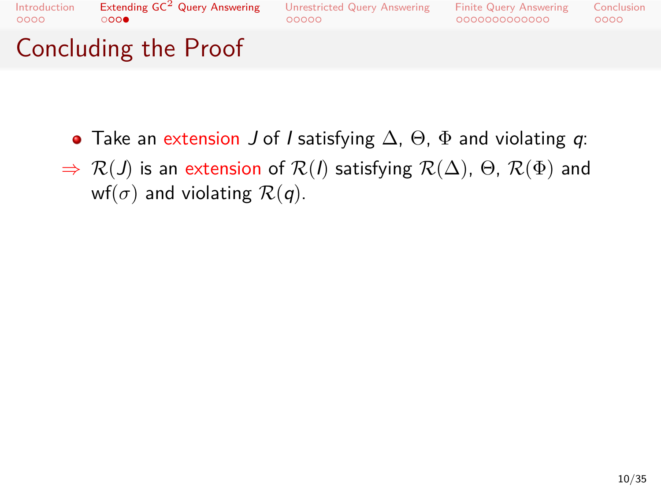Introduction<br>0000 Extending GC<sup>2</sup> Query Answering<br>0000

## Unrestricted Query Answering<br>00000

Finite Query Answering<br>000000000000 Conclusion<br>0000

# Concluding the Proof

- Take an extension *J* of *I* satisfying ∆, Θ, Φ and violating *q*:
- *⇒ R*(*J*) is an extension of *R*(*I*) satisfying *R*(∆), Θ, *R*(Φ) and wf( $\sigma$ ) and violating  $\mathcal{R}(q)$ .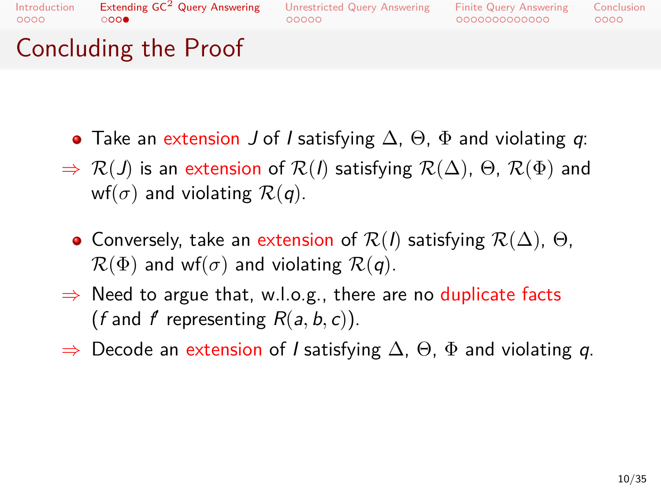### Extending GC<sup>2</sup> Query Answering<br>0000  $00000$ Unrestricted Query Answering

Finite Query Answering<br>000000000000  $0000$ Conclusion

Concluding the Proof

- Take an extension *J* of *I* satisfying ∆, Θ, Φ and violating *q*:
- *⇒ R*(*J*) is an extension of *R*(*I*) satisfying *R*(∆), Θ, *R*(Φ) and wf( $\sigma$ ) and violating  $\mathcal{R}(q)$ .
- Conversely, take an extension of *R*(*I*) satisfying *R*(∆), Θ,  $\mathcal{R}(\Phi)$  and wf( $\sigma$ ) and violating  $\mathcal{R}(q)$ .
- *⇒* Need to argue that, w.l.o.g., there are no duplicate facts (*f* and *f* representing  $R(a, b, c)$ ).
- *⇒* Decode an extension of *I* satisfying ∆, Θ, Φ and violating *q*.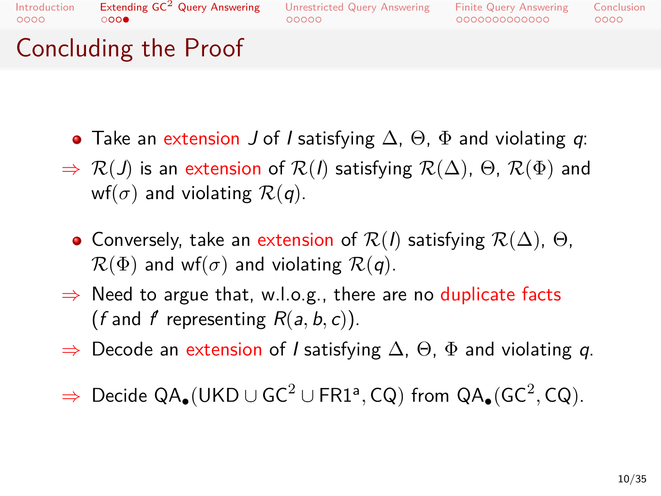### Extending GC<sup>2</sup> Query Answering<br>0000  $00000$ Unrestricted Query Answering

Finite Query Answering<br>000000000000  $0000$ Conclusion

Concluding the Proof

- Take an extension *J* of *I* satisfying ∆, Θ, Φ and violating *q*:
- *⇒ R*(*J*) is an extension of *R*(*I*) satisfying *R*(∆), Θ, *R*(Φ) and wf( $\sigma$ ) and violating  $\mathcal{R}(q)$ .
- Conversely, take an extension of *R*(*I*) satisfying *R*(∆), Θ,  $\mathcal{R}(\Phi)$  and wf( $\sigma$ ) and violating  $\mathcal{R}(q)$ .
- *⇒* Need to argue that, w.l.o.g., there are no duplicate facts (*f* and *f* representing  $R(a, b, c)$ ).
- *⇒* Decode an extension of *I* satisfying ∆, Θ, Φ and violating *q*.
- *<sup>⇒</sup>* Decide QA*•*(UKD *<sup>∪</sup>* GC<sup>2</sup> *<sup>∪</sup>* FR1<sup>a</sup> *,* CQ) from QA*•*(GC<sup>2</sup> *,* CQ).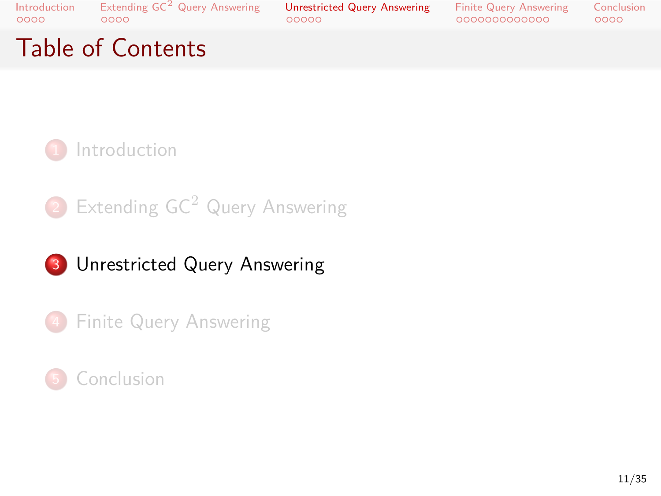. . . . Extending GC<sup>2</sup> Query Answering . . . . . Unrestricted Query Answering . . . . . . . . . . . . . Finite Query Answering

Conclusion<br>0000

# Table of Contents



2 Extending GC<sup>2</sup> Query Answering

## 3 Unrestricted Query Answering

4 Finite Query Answering

## .<sup>5</sup> Conclusion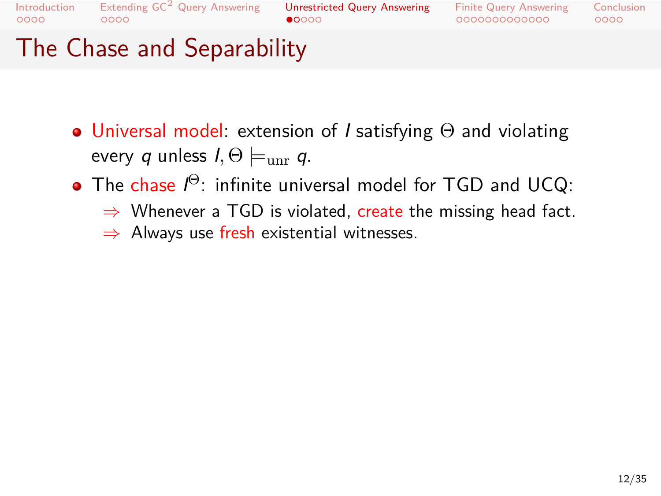### Extending  $\mathsf{GC}^2$  Query Answering<br>0000 Unrestricted Query Answering<br>●0000

Finite Query Answering<br>000000000000

0000 Conclusion

# The Chase and Separability

- Universal model: extension of *I* satisfying Θ and violating every *q* unless  $I, \Theta \models_{unr} q$ .
- The chase *I* <sup>Θ</sup>: infinite universal model for TGD and UCQ:
	- *⇒* Whenever a TGD is violated, create the missing head fact.
	- *⇒* Always use fresh existential witnesses.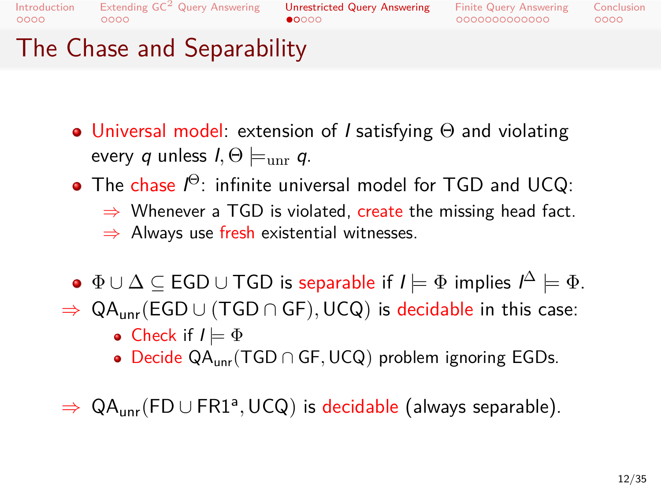## Extending  $\mathsf{GC}^2$  Query Answering<br>0000

## Unrestricted Query Answering<br>●0000

Finite Query Answering<br>000000000000  $0000$ Conclusion

## The Chase and Separability

- Universal model: extension of *I* satisfying Θ and violating every *q* unless  $I, \Theta \models_{unr} q$ .
- The chase *I* <sup>Θ</sup>: infinite universal model for TGD and UCQ:
	- *⇒* Whenever a TGD is violated, create the missing head fact. *⇒* Always use fresh existential witnesses.
- Φ *∪* ∆ *⊆* EGD *∪* TGD is separable if *I |*= Φ implies *I* <sup>∆</sup> *|*= Φ.
- *⇒* QAunr(EGD *∪* (TGD *∩* GF)*,*UCQ) is decidable in this case: • Check if  $I \models \Phi$ 
	- Decide QAunr(TGD *∩* GF*,*UCQ) problem ignoring EGDs.
- *⇒* QAunr(FD *∪* FR1<sup>a</sup> *,*UCQ) is decidable (always separable).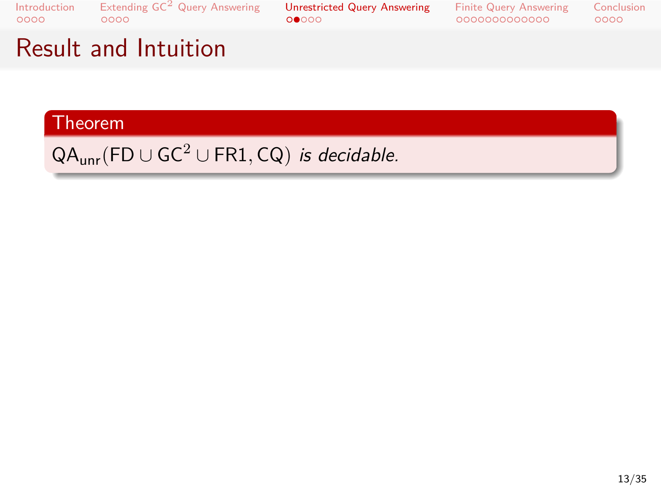. . . . Extending GC<sup>2</sup> Query Answering . . . . . Unrestricted Query Answering . . . . . . . . . . . . . Finite Query Answering

Conclusion<br>0000

# Result and Intuition

# . Theorem .

.QAunr(FD *<sup>∪</sup>* GC<sup>2</sup> *<sup>∪</sup>* FR1*,* CQ) *is decidable.*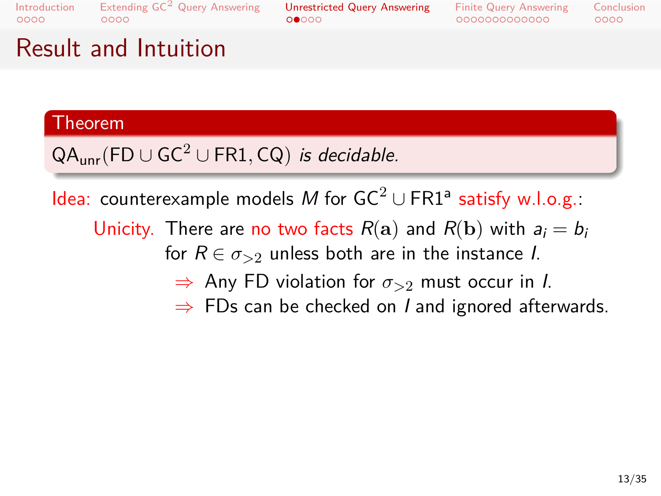### Extending  $\mathsf{GC}^2$  Query Answering<br>0000  $00000$ Unrestricted Query Answering

Finite Query Answering<br>000000000000 Conclusion<br>0000

## Result and Intuition

# . Theorem .

## .QAunr(FD *<sup>∪</sup>* GC<sup>2</sup> *<sup>∪</sup>* FR1*,* CQ) *is decidable.*

**Idea:** counterexample models M for GC<sup>2</sup> ∪ FR1<sup>a</sup> satisfy w.l.o.g.:

Unicity. There are no two facts  $R(\mathbf{a})$  and  $R(\mathbf{b})$  with  $a_i = b_i$ for  $R \in \sigma_{>2}$  unless both are in the instance *I*.

- *⇒* Any FD violation for *σ>*<sup>2</sup> must occur in *I*.
- *⇒* FDs can be checked on *I* and ignored afterwards.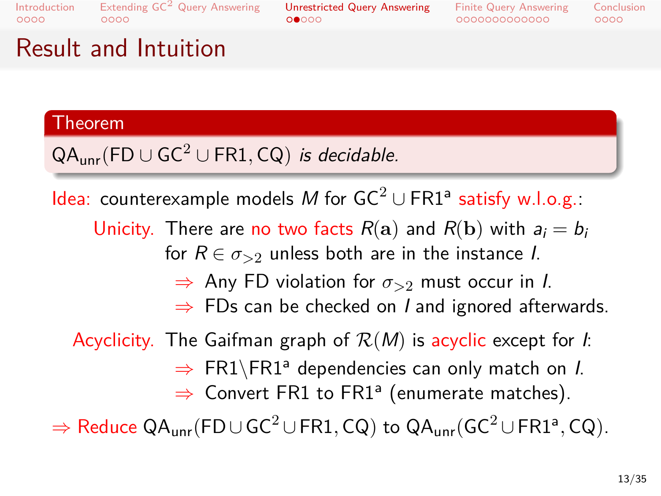### Extending  $\mathsf{GC}^2$  Query Answering<br>0000  $00000$ Unrestricted Query Answering

Finite Query Answering<br>000000000000  $0000$ Conclusion

## Result and Intuition

# . Theorem .

## .QAunr(FD *<sup>∪</sup>* GC<sup>2</sup> *<sup>∪</sup>* FR1*,* CQ) *is decidable.*

**Idea:** counterexample models M for GC<sup>2</sup> ∪ FR1<sup>a</sup> satisfy w.l.o.g.:

Unicity. There are no two facts  $R(\mathbf{a})$  and  $R(\mathbf{b})$  with  $a_i = b_i$ for  $R \in \sigma_{>2}$  unless both are in the instance *I*.

- *⇒* Any FD violation for *σ>*<sup>2</sup> must occur in *I*.
- *⇒* FDs can be checked on *I* and ignored afterwards.

## Acyclicity. The Gaifman graph of *R*(*M*) is acyclic except for *I*:

- $\Rightarrow$  FR1\FR1<sup>a</sup> dependencies can only match on *I*.
- ⇒ Convert FR1 to FR1<sup>a</sup> (enumerate matches).

*⇒* Reduce QAunr(FD *∪*GC<sup>2</sup> *∪*FR1*,* CQ) to QAunr(GC<sup>2</sup> *∪*FR1<sup>a</sup> *,* CQ).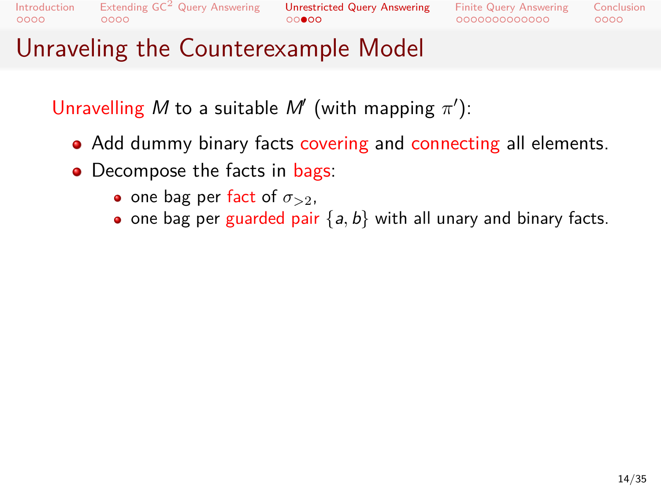Extending GC<sup>2</sup> Query Answering **Unrestricted Query Answering**<br>00000 0000

Finite Query Answering<br>000000000000

# Unraveling the Counterexample Model

Unravelling *M* to a suitable *M′* (with mapping *π ′* ):

- Add dummy binary facts covering and connecting all elements.
- Decompose the facts in bags:
	- one bag per fact of  $\sigma_{>2}$ ,
	- one bag per guarded pair  $\{a, b\}$  with all unary and binary facts.

Conclusion<br>0000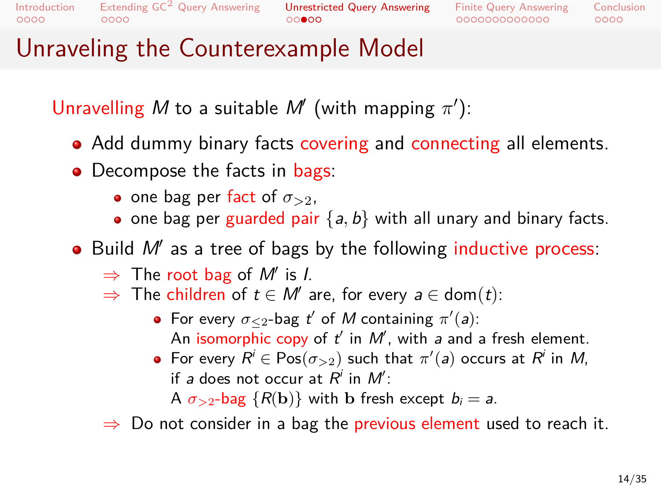..........<br>0000 Introdu

 $0000$ 

#### Extending GC<sup>2</sup> Query Answering  $00000$ Unrestricted Query Answering

Finite Query Answering<br>000000000000  $0000$ Conclusion

### Unraveling the Counterexample Model

Unravelling *M* to a suitable *M′* (with mapping *π ′* ):

- Add dummy binary facts covering and connecting all elements.
- Decompose the facts in bags:
	- one bag per fact of  $\sigma_{>2}$ ,
	- $\bullet$  one bag per guarded pair  $\{a, b\}$  with all unary and binary facts.
- Build *M′* as a tree of bags by the following inductive process:
	- *⇒* The root bag of *M′* is *I*.
	- *⇒* The children of *t ∈ M′* are, for every *a ∈* dom(*t*):
		- For every  $\sigma_{\leq 2}$ -bag  $t'$  of  $M$  containing  $\pi'(a)$ : An isomorphic copy of *t ′* in *M′* , with *a* and a fresh element.
		- $\mathsf{For\ every}\ R^i\in \mathsf{Pos}(\sigma_{>2})$  such that  $\pi'(a)$  occurs at  $R^i$  in  $M,$ if *a* does not occur at  $R^i$  in  $M^{\prime}$ : A  $\sigma_{>2}$ -bag  $\{R(\mathbf{b})\}$  with **b** fresh except  $b_i = a$ .
	- *⇒* Do not consider in a bag the previous element used to reach it.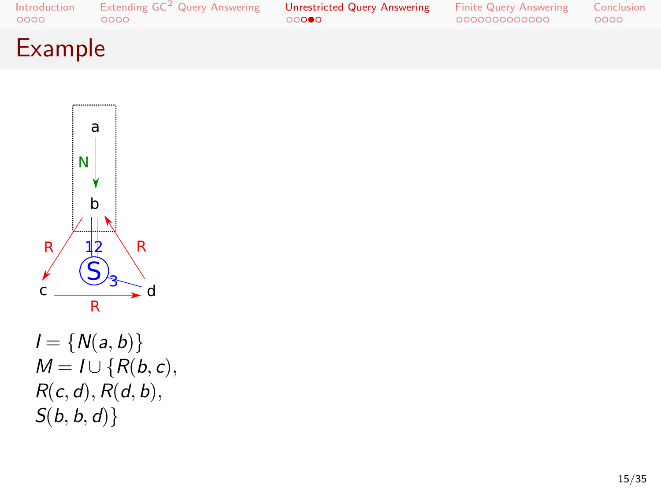$\frac{2}{c}$   $\frac{(S)}{s}$  d R  $I = \{N(a, b)\}$ *M* = *I* ∪ { $R(b, c)$ *, R*(*c, d*)*, R*(*d, b*)*, S*(*b, b, d*)*}*

R R  $\left. \text{S}\right\vert _{3}$ 12

 $\overline{\mathbb{L}}$ 

b

♦

N

a

# Introduction<br>0000 Example

Extending  $\mathsf{GC}^2$  Query Answering<br>0000

Unrestricted Query Answering<br>00000

Finite Query Answering<br>000000000000 Conclusion<br>0000

15/35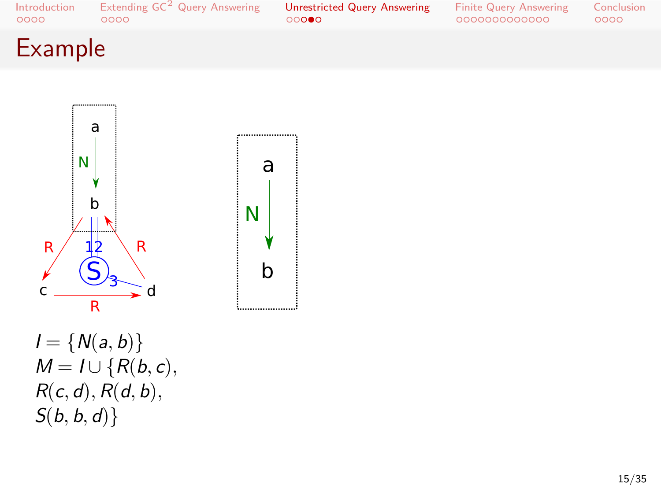$I = \{N(a, b)\}$ *M* = *I* ∪ { $R(b, c)$ *, R*(*c, d*)*, R*(*d, b*)*, S*(*b, b, d*)*}*

 $\frac{1}{c}$   $\frac{S_3}{d}$ R R  $\left. \text{S}\right\vert _{3}$ 12

R



# Example

a

b

 $\overline{\mathbb{R}}$ 

у

N

Extending  $\mathsf{GC}^2$  Query Answering<br>0000 Unrestricted Query Answering<br>00000

Finite Query Answering<br>000000000000

Conclusion<br>0000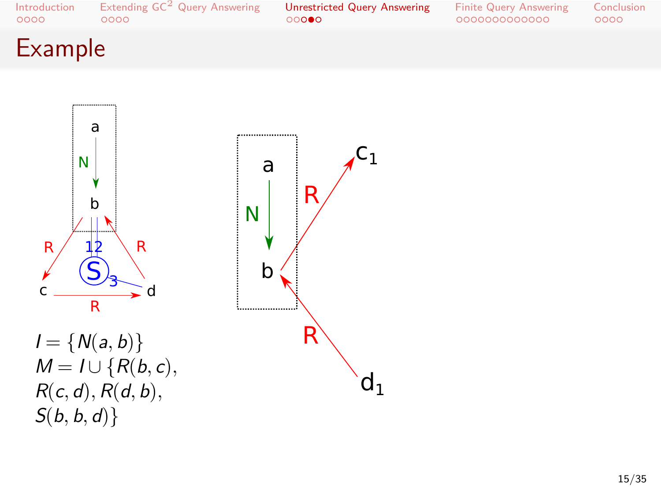



# Example

Introduction<br>0000 Extending  $\mathsf{GC}^2$  Query Answering<br>0000

Unrestricted Query Answering<br>00000

Finite Query Answering<br>000000000000 Conclusion<br>0000

15/35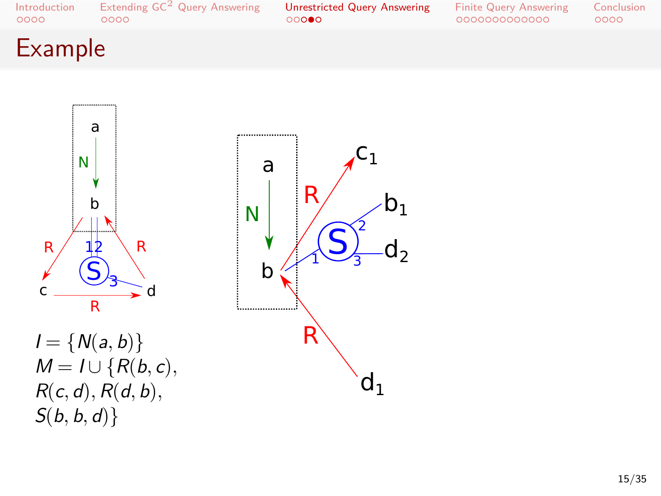



Conclusion<br>0000

Introduction<br>0000

Extending  $\mathsf{GC}^2$  Query Answering<br>0000

Unrestricted Query Answering<br>00000

Finite Query Answering<br>000000000000

Example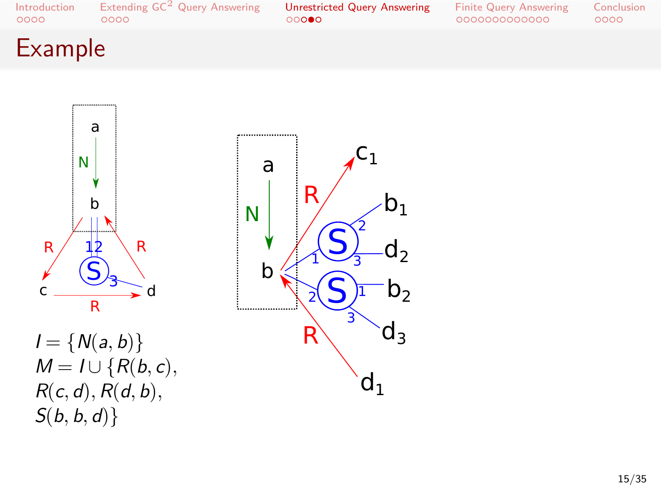



# Example

Introduction<br>0000 Extending  $\mathsf{GC}^2$  Query Answering<br>0000

Unrestricted Query Answering<br>00000

Finite Query Answering<br>000000000000 Conclusion<br>0000

15/35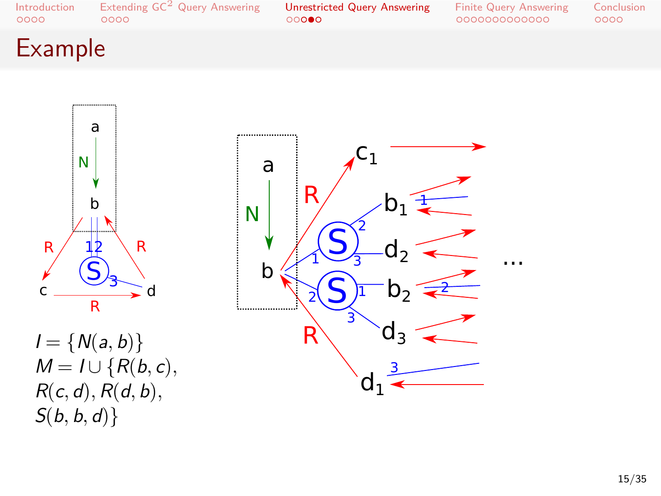



# Example

Introduction<br>0000

Extending  $\mathsf{GC}^2$  Query Answering<br>0000

Unrestricted Query Answering<br>00000

Finite Query Answering<br>000000000000 Conclusion<br>0000

### 15/35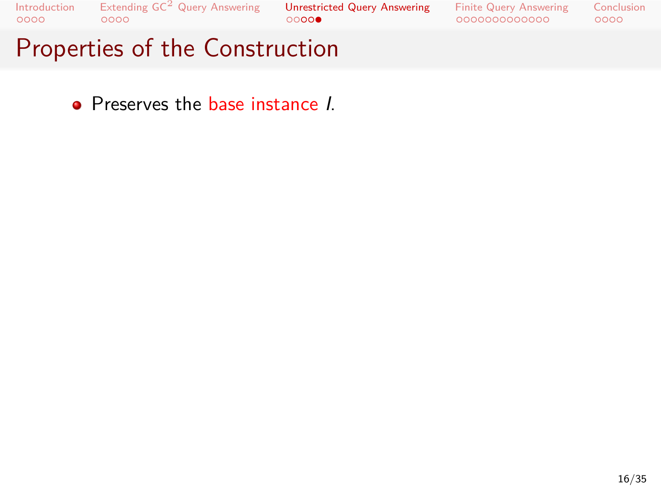. . . . Extending GC<sup>2</sup> Query Answering . . . . . Unrestricted Query Answering . . . . . . . . . . . . . Finite Query Answering

Conclusion<br>0000

# Properties of the Construction

Preserves the base instance *I*.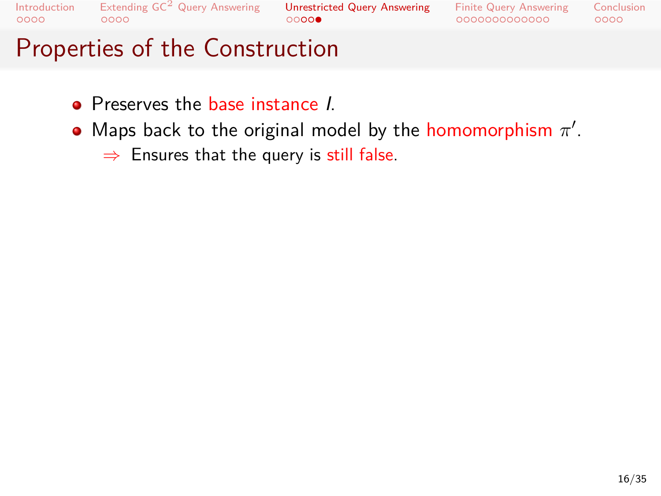Extending  $\mathsf{GC}^2$  Query Answering<br>0000 Unrestricted Query Answering<br>00000

Finite Query Answering<br>000000000000 Conclusion<br>0000

- Preserves the base instance *I*.
- Maps back to the original model by the homomorphism *π ′* . *⇒* Ensures that the query is still false.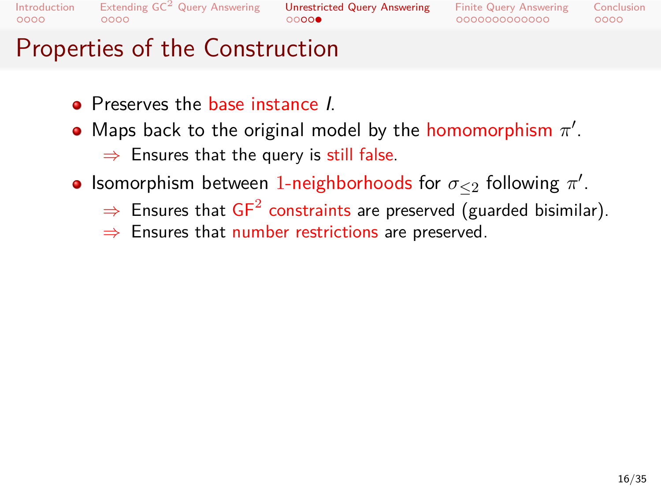### Extending  $\mathsf{GC}^2$  Query Answering<br>0000

### Unrestricted Query Answering<br>00000

Finite Query Answering<br>000000000000  $0000$ Conclusion

- Preserves the base instance *I*.
	- Maps back to the original model by the homomorphism *π ′* . *⇒* Ensures that the query is still false.
- Isomorphism between 1-neighborhoods for *σ≤*<sup>2</sup> following *π ′* .
	- $\Rightarrow$  Ensures that  $\mathsf{GF}^2$  constraints are preserved (guarded bisimilar).
	- *⇒* Ensures that number restrictions are preserved.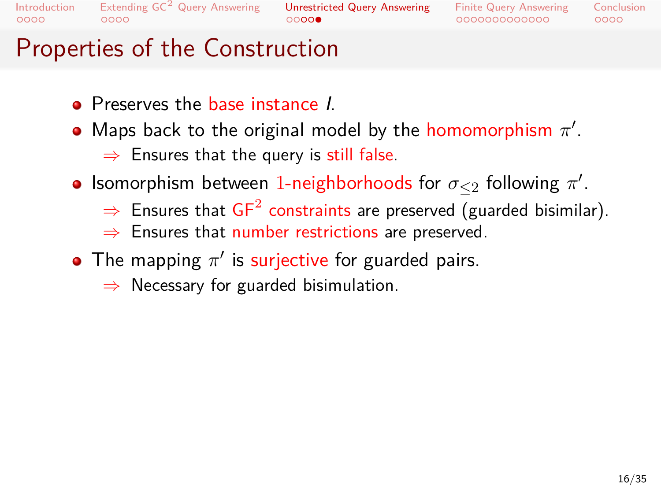#### Extending  $\mathsf{GC}^2$  Query Answering<br>0000 Unrestricted Query Answering<br>00000

Finite Query Answering<br>000000000000  $0000$ Conclusion

- Preserves the base instance *I*.
	- Maps back to the original model by the homomorphism *π ′* . *⇒* Ensures that the query is still false.
- Isomorphism between 1-neighborhoods for *σ≤*<sup>2</sup> following *π ′* .
	- $\Rightarrow$  Ensures that  $\mathsf{GF}^2$  constraints are preserved (guarded bisimilar).
	- *⇒* Ensures that number restrictions are preserved.
- The mapping  $\pi'$  is surjective for guarded pairs.
	- *⇒* Necessary for guarded bisimulation.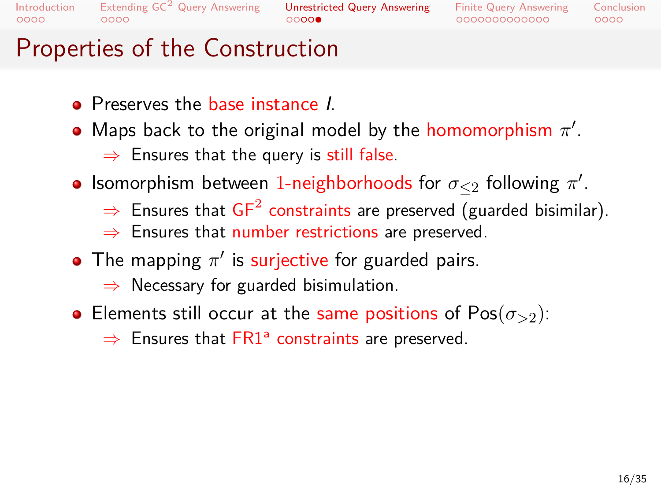### Extending  $\mathsf{GC}^2$  Query Answering<br>0000

### Unrestricted Query Answering<br>00000

### Finite Query Answering<br>000000000000

 $0000$ Conclusion

- Preserves the base instance *I*.
	- Maps back to the original model by the homomorphism *π ′* . *⇒* Ensures that the query is still false.
- Isomorphism between 1-neighborhoods for *σ≤*<sup>2</sup> following *π ′* .
	- $\Rightarrow$  Ensures that  $\mathsf{GF}^2$  constraints are preserved (guarded bisimilar).
	- *⇒* Ensures that number restrictions are preserved.
- The mapping  $\pi'$  is surjective for guarded pairs. *⇒* Necessary for guarded bisimulation.
- Elements still occur at the same positions of Pos(*σ>*2): ⇒ Ensures that FR1<sup>a</sup> constraints are preserved.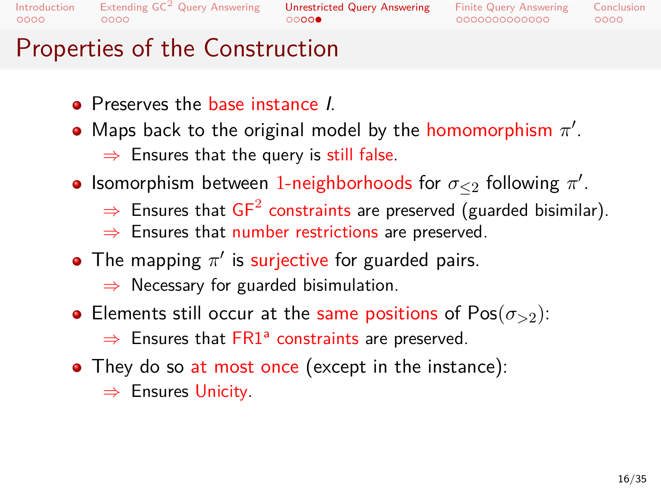### Extending  $\mathsf{GC}^2$  Query Answering<br>0000

#### $00000$ Unrestricted Query Answering

Finite Query Answering<br>000000000000  $0000$ Conclusion

- Preserves the base instance *I*.
	- Maps back to the original model by the homomorphism *π ′* . *⇒* Ensures that the query is still false.
- Isomorphism between 1-neighborhoods for *σ≤*<sup>2</sup> following *π ′* .
	- $\Rightarrow$  Ensures that  $\mathsf{GF}^2$  constraints are preserved (guarded bisimilar).
	- *⇒* Ensures that number restrictions are preserved.
- The mapping  $\pi'$  is surjective for guarded pairs. *⇒* Necessary for guarded bisimulation.
- **•** Elements still occur at the same positions of  $Pos(\sigma_{>2})$ : ⇒ Ensures that FR1<sup>a</sup> constraints are preserved.
- They do so at most once (except in the instance): *⇒* Ensures Unicity.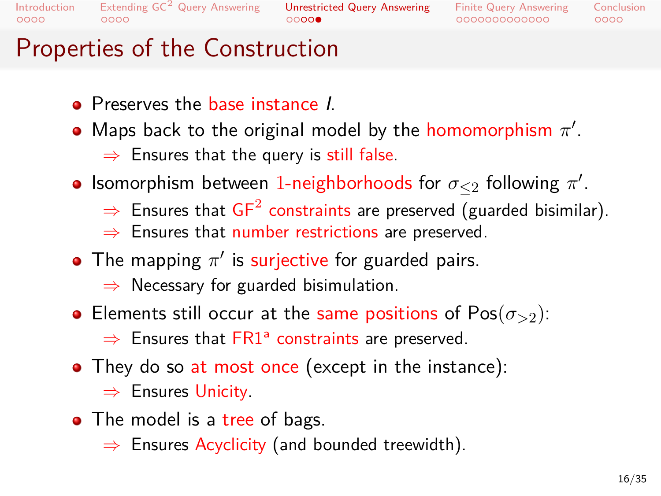### Extending  $\mathsf{GC}^2$  Query Answering<br>0000

 $00000$ Unrestricted Query Answering

### Finite Query Answering<br>000000000000

 $0000$ Conclusion

- Preserves the base instance *I*.
	- Maps back to the original model by the homomorphism *π ′* . *⇒* Ensures that the query is still false.
- Isomorphism between 1-neighborhoods for *σ≤*<sup>2</sup> following *π ′* .
	- $\Rightarrow$  Ensures that  $\mathsf{GF}^2$  constraints are preserved (guarded bisimilar).
	- *⇒* Ensures that number restrictions are preserved.
- The mapping  $\pi'$  is surjective for guarded pairs. *⇒* Necessary for guarded bisimulation.
- **•** Elements still occur at the same positions of  $Pos(\sigma_{>2})$ : ⇒ Ensures that FR1<sup>a</sup> constraints are preserved.
- They do so at most once (except in the instance): *⇒* Ensures Unicity.
- The model is a tree of bags.
	- *⇒* Ensures Acyclicity (and bounded treewidth).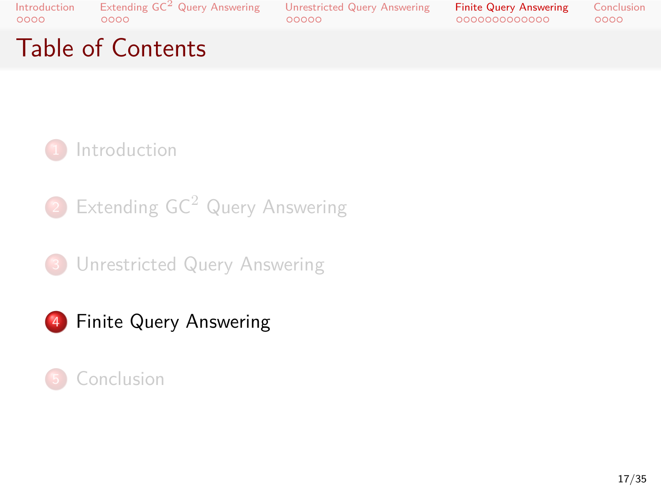Introduction<br>0000 Table of Contents

. . . . Extending GC<sup>2</sup> Query Answering . . . . . Unrestricted Query Answering . . . . . . . . . . . . . Finite Query Answering

Conclusion<br>0000



**1** Introduction

2 Extending GC<sup>2</sup> Query Answering

<sup>3</sup> Unrestricted Query Answering



.<sup>5</sup> Conclusion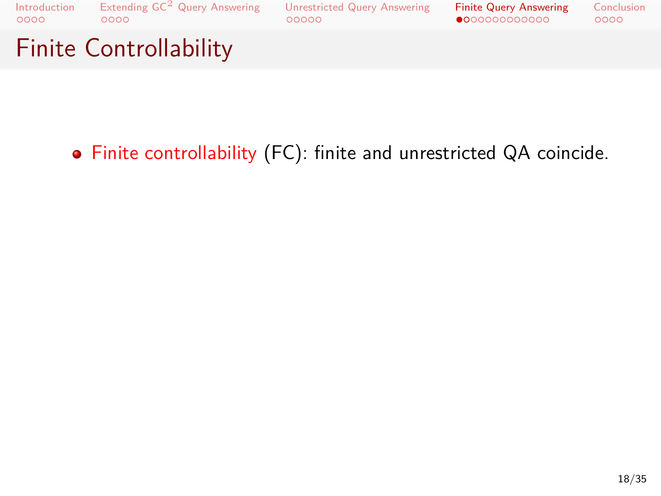

Finite controllability (FC): finite and unrestricted QA coincide.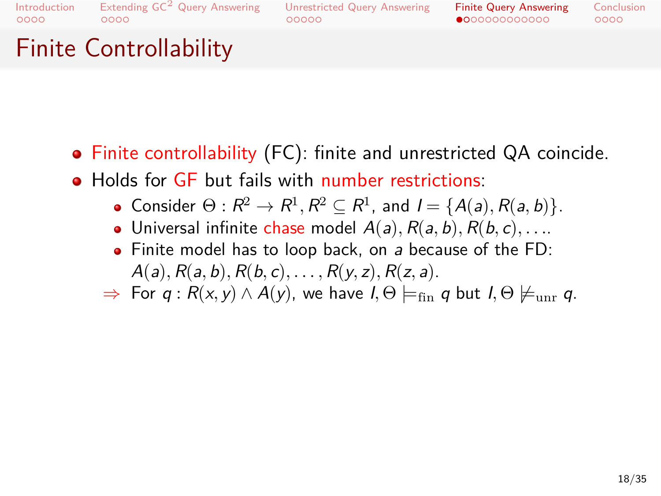#### $00000$ Unrestricted Query Answering

Finite Query Answering<br>●○○○○○○○○○○○○  $0000$ Conclusion

# Finite Controllability

- Finite controllability (FC): finite and unrestricted QA coincide.
- Holds for GF but fails with number restrictions:
	- Consider  $\Theta: R^2 \to R^1, R^2 \subseteq R^1$ , and  $I = \{A(a), R(a, b)\}.$
	- $\bullet$  Universal infinite chase model  $A(a), R(a, b), R(b, c), \ldots$
	- Finite model has to loop back, on *a* because of the FD: *A*(*a*)*, R*(*a, b*)*, R*(*b, c*)*, . . . , R*(*y, z*)*, R*(*z, a*).
	- $\Rightarrow$  For *q* : *R*(*x, y*) ∧ *A*(*y*), we have *I*,  $\Theta$   $\models$ <sub>fin</sub> *q* but *I*,  $\Theta$   $\nmodels$ <sub>unr</sub> *q*.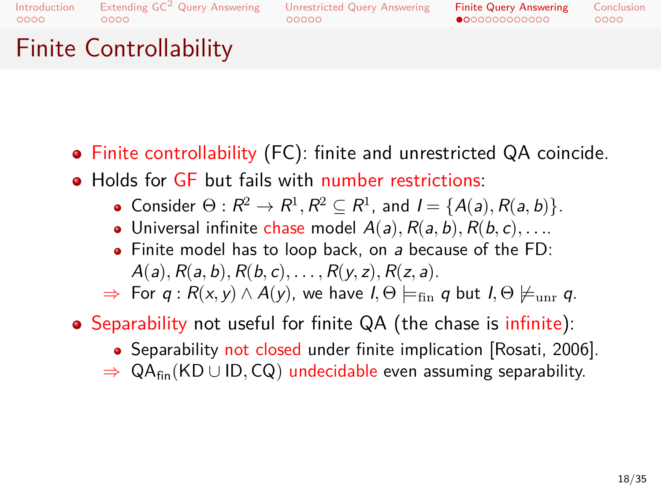#### Extending GC<sup>2</sup> Query Answering  $00000$ Unrestricted Query Answering

Finite Query Answering<br>●○○○○○○○○○○○○  $0000$ Conclusion

Finite Controllability

- Finite controllability (FC): finite and unrestricted QA coincide.
- Holds for GF but fails with number restrictions:
	- Consider  $\Theta: R^2 \to R^1, R^2 \subseteq R^1$ , and  $I = \{A(a), R(a, b)\}.$
	- $\bullet$  Universal infinite chase model  $A(a), R(a, b), R(b, c), \ldots$
	- Finite model has to loop back, on *a* because of the FD: *A*(*a*)*, R*(*a, b*)*, R*(*b, c*)*, . . . , R*(*y, z*)*, R*(*z, a*).
	- $\Rightarrow$  For *q* : *R*(*x, y*) ∧ *A*(*y*), we have *I*,  $\Theta$   $\models$ <sub>fin</sub> *q* but *I*,  $\Theta$   $\nmodels$ <sub>unr</sub> *q*.
- Separability not useful for finite QA (the chase is infinite):
	- Separability not closed under finite implication [Rosati, 2006].
	- *⇒* QAfin(KD *∪* ID*,* CQ) undecidable even assuming separability.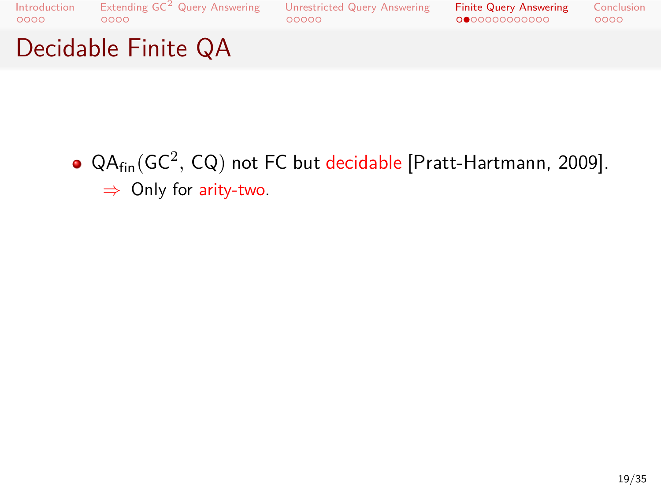

QA<sub>fin</sub>(GC<sup>2</sup>, CQ) not FC but decidable [Pratt-Hartmann, 2009]. *⇒* Only for arity-two.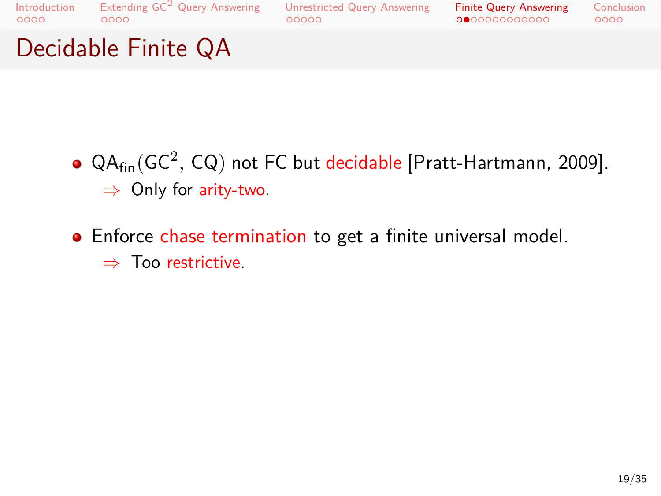### Unrestricted Query Answering<br>00000

Finite Query Answering<br>000000000000

Conclusion<br>0000

# Decidable Finite QA

- QA<sub>fin</sub>(GC<sup>2</sup>, CQ) not FC but decidable [Pratt-Hartmann, 2009]. *⇒* Only for arity-two.
- Enforce chase termination to get a finite universal model.
	- *⇒* Too restrictive.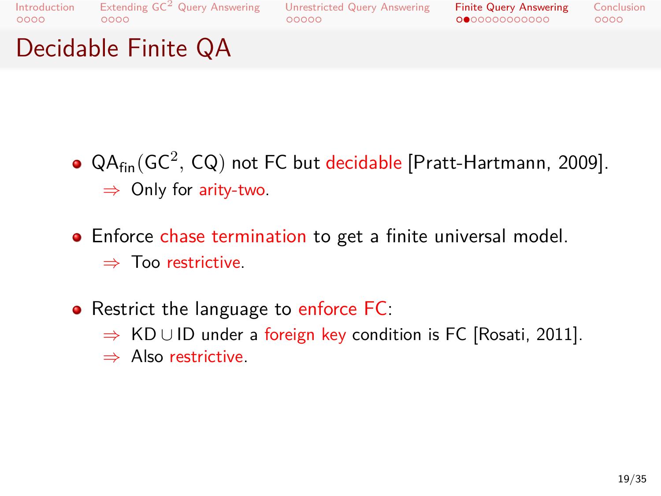### Unrestricted Query Answering<br>00000

Finite Query Answering<br>000000000000 Conclusion<br>0000

Decidable Finite QA

- QA<sub>fin</sub>(GC<sup>2</sup>, CQ) not FC but decidable [Pratt-Hartmann, 2009]. *⇒* Only for arity-two.
- Enforce chase termination to get a finite universal model. *⇒* Too restrictive.
- Restrict the language to enforce FC:
	- *⇒* KD *∪* ID under a foreign key condition is FC [Rosati, 2011].
	- *⇒* Also restrictive.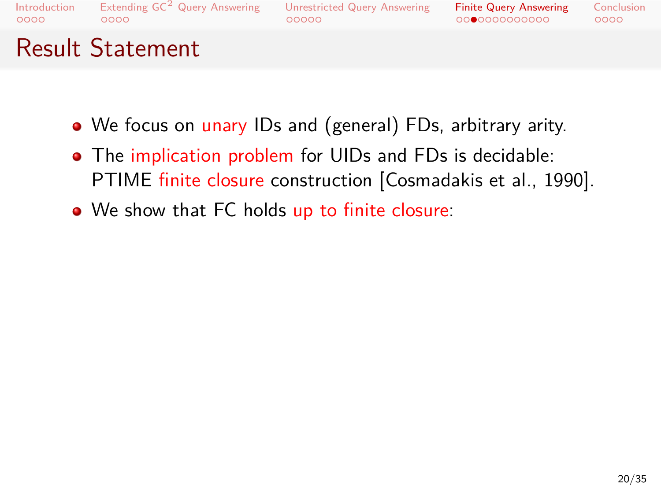## Unrestricted Query Answering<br>00000

### Finite Query Answering<br>00●000000000

# Result Statement

- We focus on unary IDs and (general) FDs, arbitrary arity.
- The implication problem for UIDs and FDs is decidable: PTIME finite closure construction [Cosmadakis et al., 1990].
- We show that FC holds up to finite closure:

Conclusion<br>0000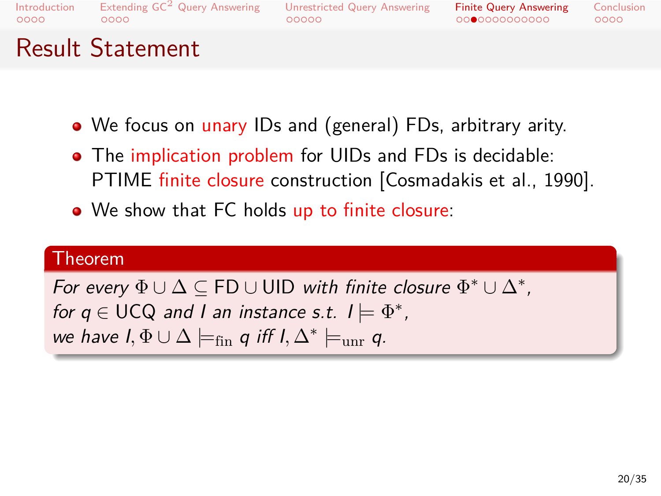#### Extending  $\mathsf{GC}^2$  Query Answering<br>0000  $00000$ Unrestricted Query Answering

### Finite Query Answering<br>00●000000000

Result Statement

- We focus on unary IDs and (general) FDs, arbitrary arity.
- The implication problem for UIDs and FDs is decidable: PTIME finite closure construction [Cosmadakis et al., 1990].
- We show that FC holds up to finite closure:

# . Theorem .

*we have*  $I$ ,  $\Phi \cup \Delta \models_{fin} q$  *iff*  $I$ ,  $\Delta^* \models_{unr} q$ . *For every*  $\Phi \cup \Delta \subseteq \mathsf{FD} \cup \mathsf{UID}$  *with finite closure*  $\Phi^* \cup \Delta^*$ , *for q*  $\in$  UCQ and I an instance s.t.  $I \models \Phi^*$ ,

 $0000$ Conclusion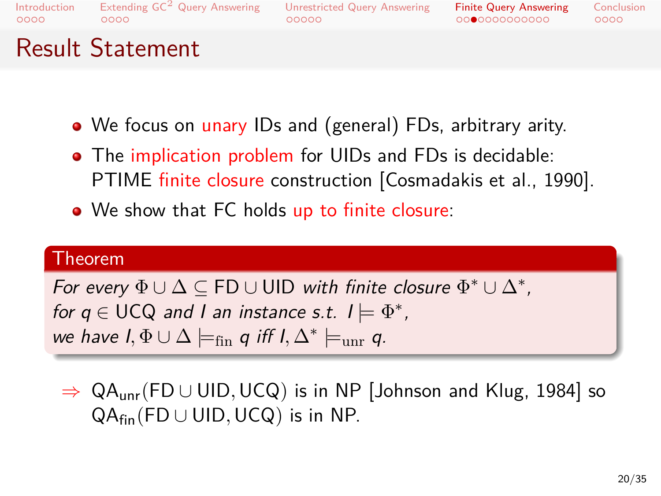#### Extending  $\mathsf{GC}^2$  Query Answering<br>0000  $00000$ Unrestricted Query Answering

### Finite Query Answering<br>00●000000000

Result Statement

- We focus on unary IDs and (general) FDs, arbitrary arity.
- The implication problem for UIDs and FDs is decidable: PTIME finite closure construction [Cosmadakis et al., 1990].
- We show that FC holds up to finite closure:

# . Theorem .

*we have*  $I$ ,  $\Phi \cup \Delta \models_{fin} q$  *iff*  $I$ ,  $\Delta^* \models_{unr} q$ . *For every*  $\Phi \cup \Delta \subseteq \mathsf{FD} \cup \mathsf{UID}$  *with finite closure*  $\Phi^* \cup \Delta^*$ , *for q*  $\in$  UCQ and I an instance s.t.  $I \models \Phi^*$ ,

*⇒* QAunr(FD *∪* UID*,*UCQ) is in NP [Johnson and Klug, 1984] so QAfin(FD *∪* UID*,*UCQ) is in NP.

 $0000$ Conclusion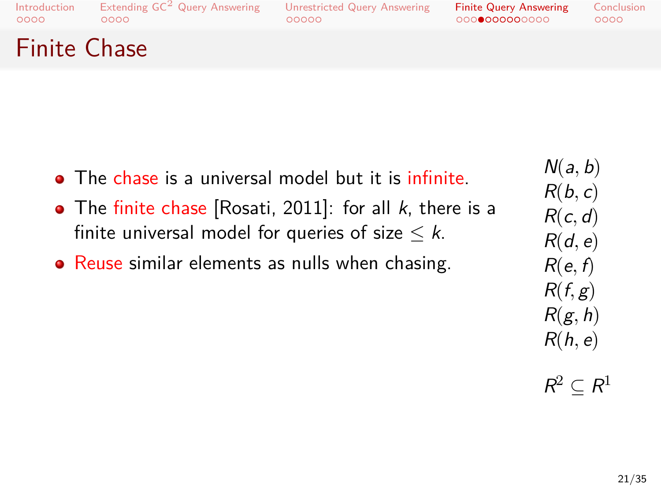#### Extending  $\mathsf{GC}^2$  Query Answering<br>0000 Unrestricted Query Answering<br>00000

Finite Query Answering<br>000●000000000 Conclusion<br>0000

Finite Chase

- The chase is a universal model but it is infinite. *N*(*a, b*)
- The finite chase [Rosati, 2011]: for all *k*, there is a finite universal model for queries of size  $\leq k$ . *R*(*b, c*) *R*(*c, d*) *R*(*d, e*)
- Reuse similar elements as nulls when chasing.
- *R*(*f, g*) *R*(*g, h*) *R*(*h, e*)

*R*(*e, f*)

 $R^2 \subseteq R^1$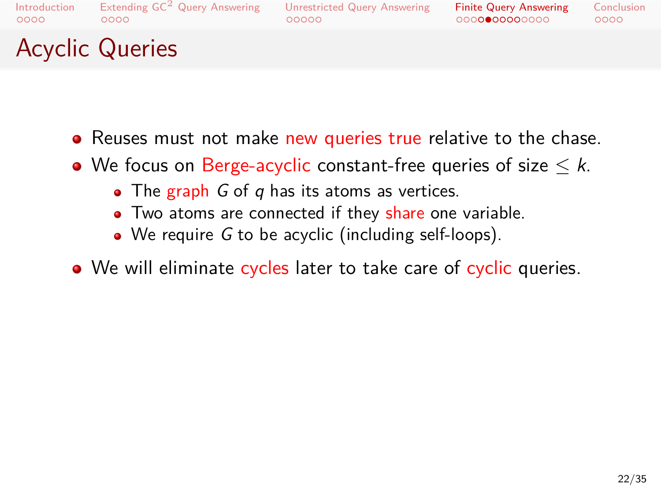# Extending  $\mathsf{GC}^2$  Query Answering<br>0000

#### $00000$ Unrestricted Query Answering

Finite Query Answering<br>0000●00000000  $0000$ Conclusion

# Acyclic Queries

- Reuses must not make new queries true relative to the chase.
- We focus on Berge-acyclic constant-free queries of size *≤ k*.
	- The graph *G* of *q* has its atoms as vertices.
	- Two atoms are connected if they share one variable.
	- We require *G* to be acyclic (including self-loops).
- We will eliminate cycles later to take care of cyclic queries.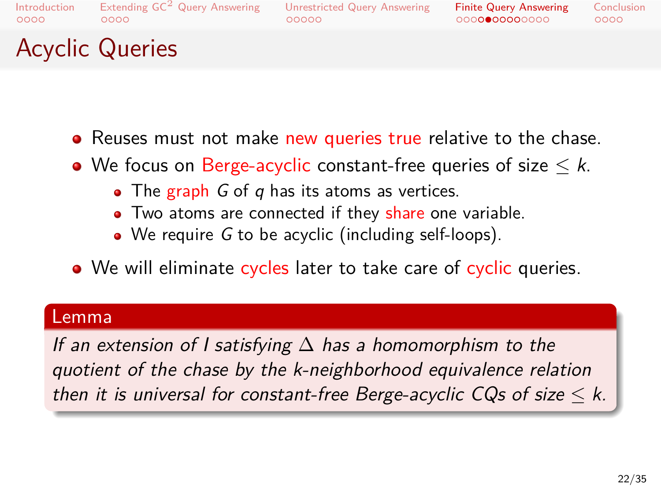# Extending  $\mathsf{GC}^2$  Query Answering<br>0000

#### Unrestricted Query Answering

Finite Query Answering<br>0000●00000000  $0000$ Conclusion

## Acyclic Queries

- Reuses must not make new queries true relative to the chase.
- We focus on Berge-acyclic constant-free queries of size *≤ k*.
	- The graph *G* of *q* has its atoms as vertices.
	- Two atoms are connected if they share one variable.
	- We require *G* to be acyclic (including self-loops).

 $00000$ 

. We will eliminate cycles later to take care of cyclic queries.

# Lemma<br>...

*then it is universal for constant-free Berge-acyclic CQs of size*  $\leq$  *k. If an extension of I satisfying* ∆ *has a homomorphism to the quotient of the chase by the k-neighborhood equivalence relation*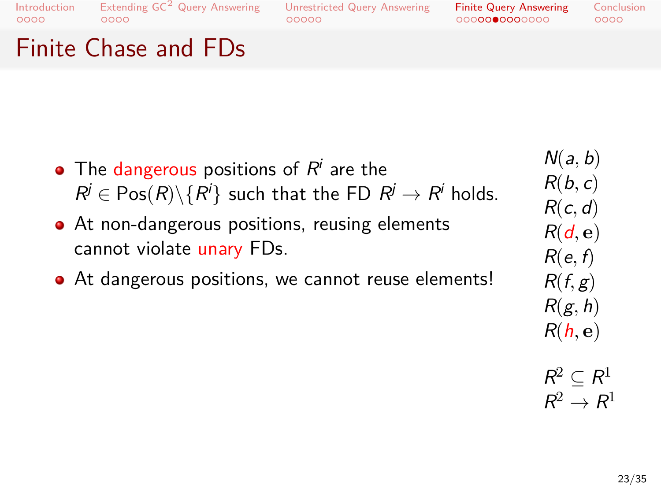Finite Chase and FDs

### Unrestricted Query Answering<br>00000

### Finite Query Answering<br>000000000000

The dangerous positions of  $R^i$  are the  $R^j \in \mathsf{Pos}(R) \backslash \{R^i\}$  such that the FD  $R^j \rightarrow R^j$  holds. At non-dangerous positions, reusing elements cannot violate unary FDs. At dangerous positions, we cannot reuse elements! *N*(*a, b*) *R*(*b, c*) *R*(*c, d*) *R*(*d,* **e**) *R*(*e, f*) *R*(*f, g*)

$$
\mathsf{R}(\mathsf{g},\mathsf{h})
$$

$$
\mathsf{R}(\mathsf{h},\mathbf{e})
$$

$$
\begin{aligned}\nR^2 &\subseteq R^1 \\
R^2 &\to R^1\n\end{aligned}
$$

23/35

Conclusion<br>0000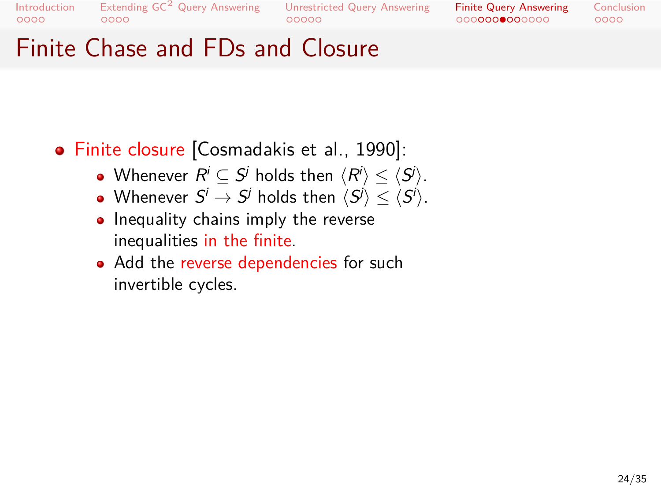Extending GC<sup>2</sup> Query Answering Unrestricted Query Answering<br>00000 00000

Finite Query Answering<br>000000000000 Conclusion<br>0000

# Finite Chase and FDs and Closure

- Finite closure [Cosmadakis et al., 1990]:
	- $\textsf{Whenever}\,\, R^i\subseteq S^j\,\, \textsf{holds}\,\, \textsf{then}\,\, \langle R^i\rangle \leq \langle S^j\rangle.$
	- $\textsf{Whenever } S^i \rightarrow S^j \text{ holds then } \langle S^j \rangle \leq \langle S^j \rangle.$
	- Inequality chains imply the reverse inequalities in the finite.
	- Add the reverse dependencies for such invertible cycles.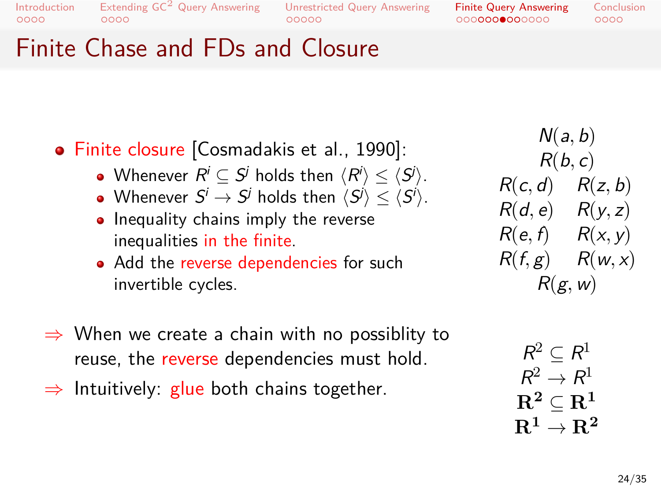. . . . Extending GC<sup>2</sup> Query Answering . . . . . Unrestricted Query Answering . . . . . . . . . . . . . Finite Query Answering Conclusion<br>0000

# Finite Chase and FDs and Closure

| · Finite closure [Cosmadakis et al., 1990]:                                                                                                                       | N(a, b)                                                                                                    |
|-------------------------------------------------------------------------------------------------------------------------------------------------------------------|------------------------------------------------------------------------------------------------------------|
| • Whenever $R^i \subseteq S^j$ holds then $\langle R^i \rangle \leq \langle S^j \rangle$ .                                                                        | R(b, c)                                                                                                    |
| • Whenever $S^i \to S^j$ holds then $\langle S^j \rangle \leq \langle S^i \rangle$ .                                                                              | $R(c, d)$ $R(z, b)$                                                                                        |
| • Inequality chains imply the reverse                                                                                                                             | $R(d, e)$ $R(y, z)$                                                                                        |
| inequalities in the finite.                                                                                                                                       | $R(e, f)$ $R(x, y)$                                                                                        |
| • Add the reverse dependencies for such                                                                                                                           | $R(f,g)$ $R(w,x)$                                                                                          |
| invertible cycles.                                                                                                                                                | R(g, w)                                                                                                    |
| $\Rightarrow$ When we create a chain with no possiblity to<br>reuse, the reverse dependencies must hold.<br>$\Rightarrow$ Intuitively: glue both chains together. | $R^2 \subset R^1$<br>$R^2 \rightarrow R^1$<br>$\bf R^2 \subset \bf R^1$<br>$\mathrm{R}^1 \to \mathrm{R}^2$ |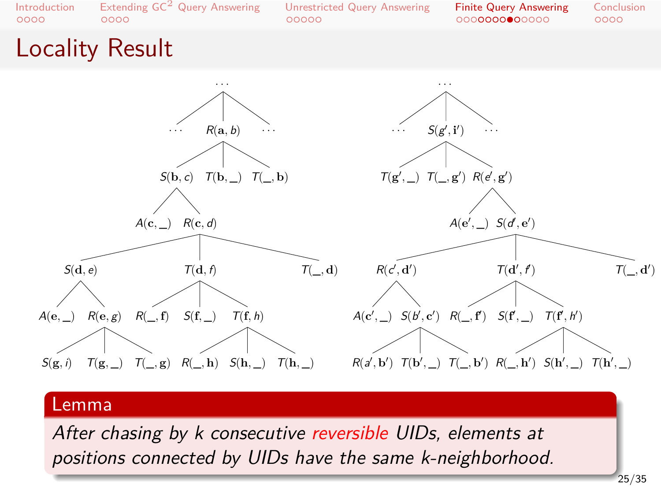

. *positions connected by UIDs have the same k-neighborhood.*

25/35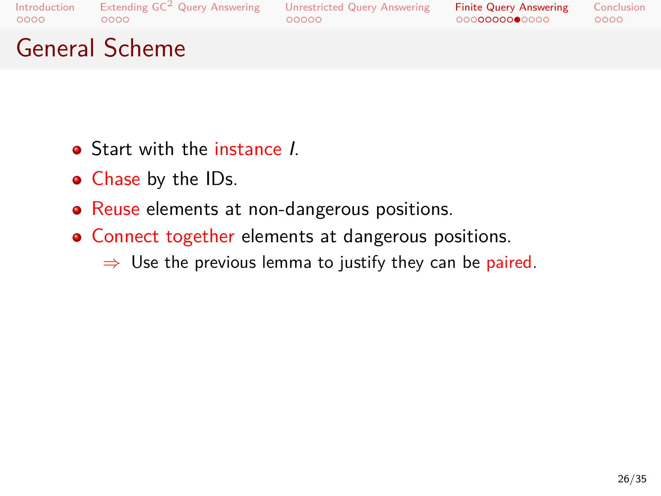### Unrestricted Query Answering<br>00000

Finite Query Answering<br>000000000000

Conclusion<br>0000

# General Scheme

- Start with the instance *I*.
- Chase by the IDs.
- Reuse elements at non-dangerous positions.
- Connect together elements at dangerous positions.
	- *⇒* Use the previous lemma to justify they can be paired.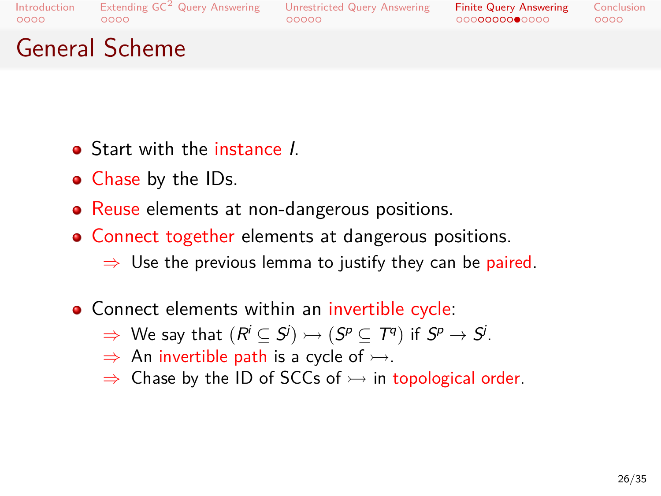#### Extending  $\mathsf{GC}^2$  Query Answering<br>0000  $00000$ Unrestricted Query Answering

Finite Query Answering<br>000000000000  $0000$ **Conclusion** 

## General Scheme

- Start with the instance *I*.
- Chase by the IDs.
- Reuse elements at non-dangerous positions.
- Connect together elements at dangerous positions.
	- *⇒* Use the previous lemma to justify they can be paired.
- Connect elements within an invertible cycle:
	- $\Rightarrow$  We say that  $(R^{i} \subseteq S^{j}) \rightarrowtail (S^{p} \subseteq T^{q})$  if  $S^{p} \rightarrow S^{j}.$
	- $\Rightarrow$  An invertible path is a cycle of  $\rightarrow$ .
	- ⇒ Chase by the ID of SCCs of  $\rightarrow$  in topological order.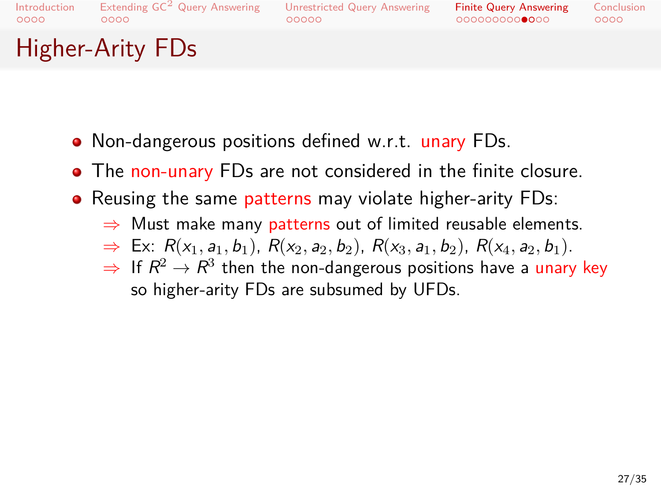#### Extending  $\mathsf{GC}^2$  Query Answering<br>0000 Unrestricted Query Answering

Finite Query Answering<br>000000000000  $0000$ Conclusion

# Higher-Arity FDs

Non-dangerous positions defined w.r.t. unary FDs.

 $00000$ 

- The non-unary FDs are not considered in the finite closure.
- Reusing the same patterns may violate higher-arity FDs:
	- *⇒* Must make many patterns out of limited reusable elements.
	- $\Rightarrow$  Ex:  $R(x_1, a_1, b_1)$ ,  $R(x_2, a_2, b_2)$ ,  $R(x_3, a_1, b_2)$ ,  $R(x_4, a_2, b_1)$ .
	- $\Rightarrow$  If  $R^2\rightarrow R^3$  then the non-dangerous positions have a <mark>unar</mark>y key so higher-arity FDs are subsumed by UFDs.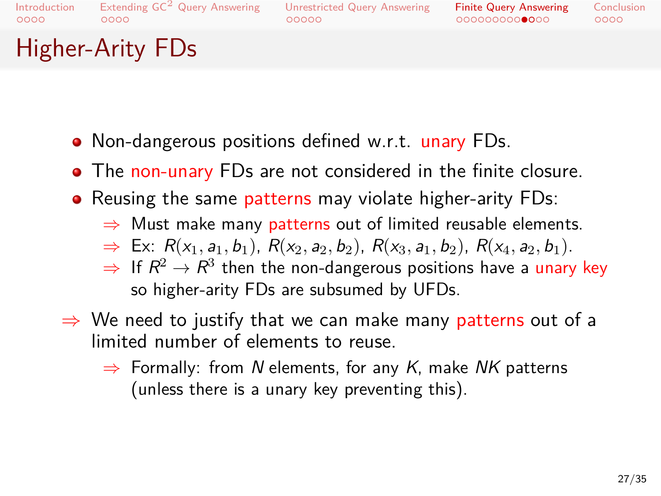# Extending  $\mathsf{GC}^2$  Query Answering<br>0000

#### $00000$ Unrestricted Query Answering

Finite Query Answering<br>000000000000  $0000$ Conclusion

Higher-Arity FDs

- Non-dangerous positions defined w.r.t. unary FDs.
- The non-unary FDs are not considered in the finite closure.
- Reusing the same patterns may violate higher-arity FDs:
	- *⇒* Must make many patterns out of limited reusable elements.
	- $\Rightarrow$  Ex:  $R(x_1, a_1, b_1)$ ,  $R(x_2, a_2, b_2)$ ,  $R(x_3, a_1, b_2)$ ,  $R(x_4, a_2, b_1)$ .
	- $\Rightarrow$  If  $R^2\rightarrow R^3$  then the non-dangerous positions have a <mark>unar</mark>y key so higher-arity FDs are subsumed by UFDs.
- *⇒* We need to justify that we can make many patterns out of a limited number of elements to reuse.
	- *⇒* Formally: from *N* elements, for any *K*, make *NK* patterns (unless there is a unary key preventing this).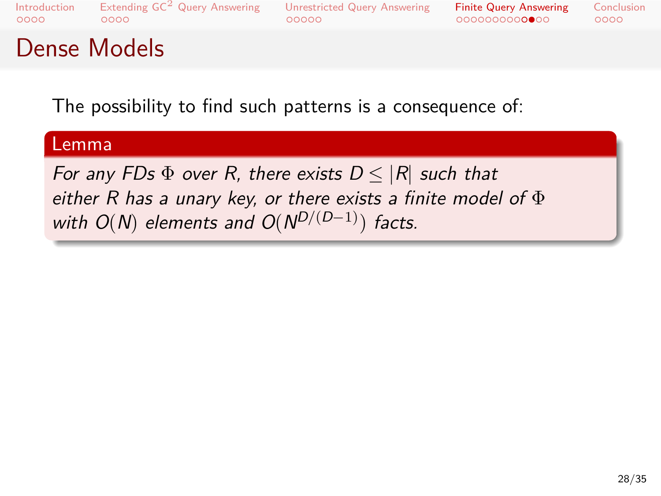. . . . Extending GC<sup>2</sup> Query Answering . . . . . Unrestricted Query Answering . . . . . . . . . . . . . Finite Query Answering

Conclusion<br>0000

## Dense Models

The possibility to find such patterns is a consequence of:

# . Lemma .

. *For any FDs*  $\Phi$  *over R, there exists D*  $\leq$  |*R*| *such that either R has a unary key, or there exists a finite model of* Φ *with O*(*N*) *elements and O*(*N <sup>D</sup>*/(*D−*1)) *facts.*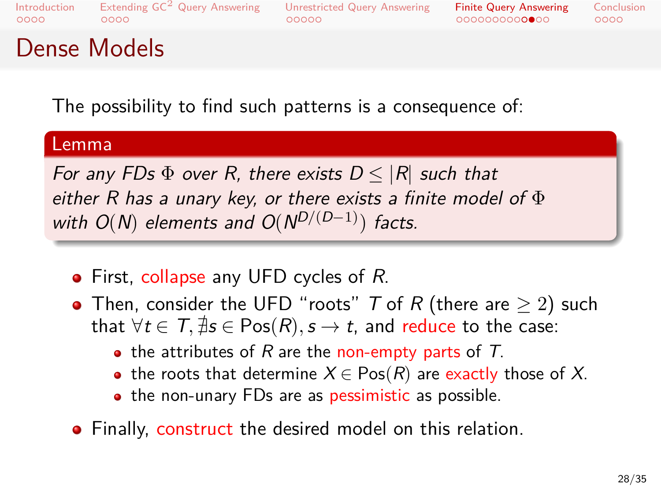### Extending  $\mathsf{GC}^2$  Query Answering<br>0000  $00000$ Unrestricted Query Answering

Finite Query Answering<br>000000000000  $0000$ Conclusion

### Dense Models

The possibility to find such patterns is a consequence of:

# . Lemma .

. *with O*(*N*) *elements and O*(*N <sup>D</sup>*/(*D−*1)) *facts. For any FDs*  $\Phi$  *over R, there exists D*  $\leq$  |*R*| *such that either R has a unary key, or there exists a finite model of* Φ

- First, collapse any UFD cycles of *R*.
- Then, consider the UFD "roots" *T* of *R* (there are *≥* 2) such that  $\forall t \in T$ ,  $\sharp s \in Pos(R)$ ,  $s \to t$ , and reduce to the case:
	- the attributes of *R* are the non-empty parts of *T*.
	- the roots that determine  $X \in \text{Pos}(R)$  are exactly those of X.
	- the non-unary FDs are as pessimistic as possible.
- Finally, construct the desired model on this relation.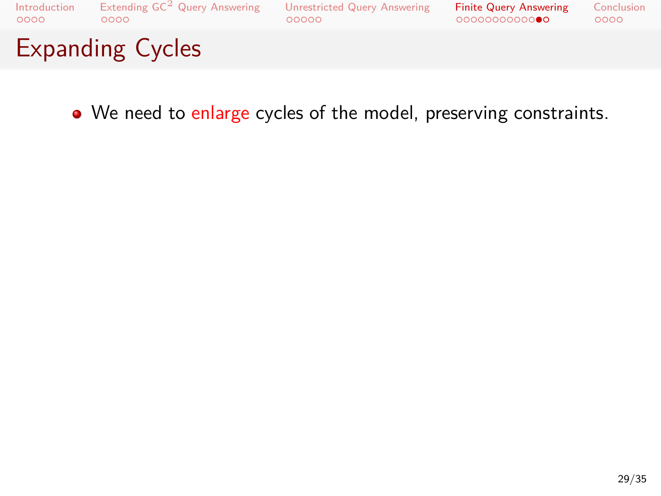

We need to enlarge cycles of the model, preserving constraints.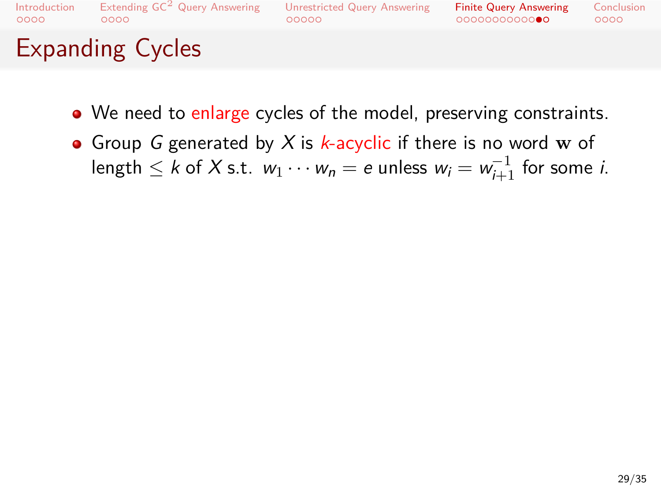Introduction<br>0000 Extending  $\mathsf{GC}^2$  Query Answering<br>0000

# Unrestricted Query Answering<br>00000

Finite Query Answering<br>000000000000 Conclusion<br>0000

# Expanding Cycles

- We need to enlarge cycles of the model, preserving constraints.
- Group *G* generated by *X* is *k*-acyclic if there is no word **w** of  $\log \ln \frac{1}{2}$  k of  $X$  s.t.  $w_1 \cdots w_n = e$  unless  $w_i = w_{i+1}^{-1}$  for some *i*.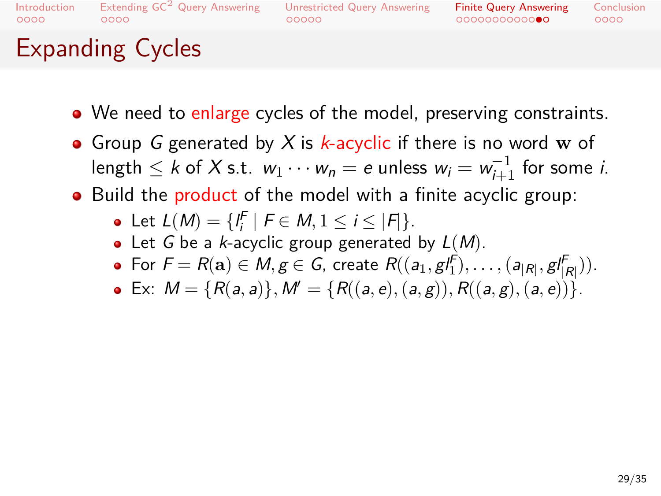### Extending  $\mathsf{GC}^2$  Query Answering<br>0000  $00000$ Unrestricted Query Answering

Finite Query Answering<br>000000000000  $0000$ Conclusion

## Expanding Cycles

- We need to enlarge cycles of the model, preserving constraints.
- Group *G* generated by *X* is *k*-acyclic if there is no word **w** of  $\log \ln \frac{1}{2}$  k of  $X$  s.t.  $w_1 \cdots w_n = e$  unless  $w_i = w_{i+1}^{-1}$  for some *i*.
- Build the product of the model with a finite acyclic group:
	- Let  $L(M) = \{l_i^F \mid F \in M, 1 \le i \le |F|\}.$
	- Let *G* be a *k*-acyclic group generated by *L*(*M*).
	- For  $F = R(a) \in M, g \in G$ , create  $R((a_1, g_1^f), \ldots, (a_{|R|}, g_{|R|}^f)).$
	- Ex:  $M = \{R(a, a)\}, M' = \{R((a, e), (a, g)), R((a, g), (a, e))\}.$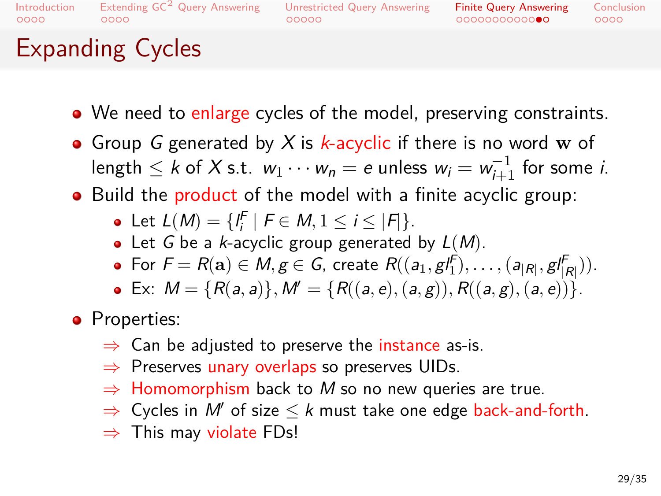### Extending  $\mathsf{GC}^2$  Query Answering<br>0000  $00000$ Unrestricted Query Answering

Finite Query Answering<br>000000000000  $0000$ Conclusion

## Expanding Cycles

- We need to enlarge cycles of the model, preserving constraints.
- Group *G* generated by *X* is *k*-acyclic if there is no word **w** of  $\log \ln \frac{1}{2}$  k of  $X$  s.t.  $w_1 \cdots w_n = e$  unless  $w_i = w_{i+1}^{-1}$  for some *i*.
- Build the product of the model with a finite acyclic group:
	- Let  $L(M) = \{l_i^F \mid F \in M, 1 \le i \le |F|\}.$
	- Let *G* be a *k*-acyclic group generated by *L*(*M*).
	- For  $F = R(a) \in M, g \in G$ , create  $R((a_1, g_1^f), \ldots, (a_{|R|}, g_{|R|}^f)).$
	- Ex:  $M = \{R(a, a)\}, M' = \{R((a, e), (a, g)), R((a, g), (a, e))\}.$
- Properties:
	- *⇒* Can be adjusted to preserve the instance as-is.
	- *⇒* Preserves unary overlaps so preserves UIDs.
	- *⇒* Homomorphism back to *M* so no new queries are true.
	- *⇒* Cycles in *M′* of size *≤ k* must take one edge back-and-forth.
	- *⇒* This may violate FDs!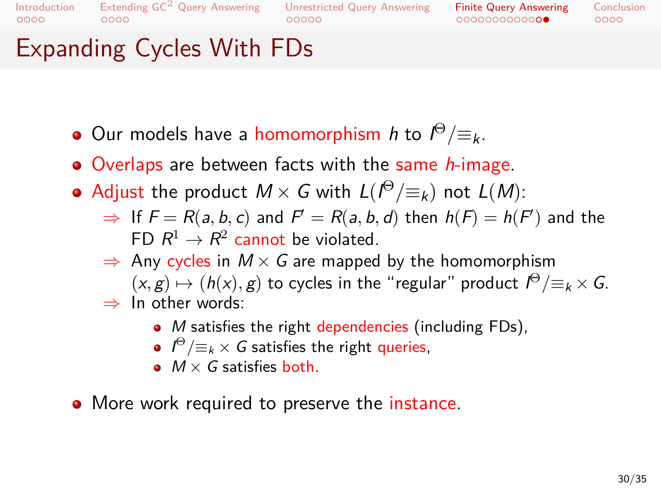### Extending GC<sup>2</sup> Query Answering Unrestricted Query Answering<br>00000 00000

Finite Query Answering<br>000000000000  $0000$ Conclusion

## Expanding Cycles With FDs

- Our models have a homomorphism *h* to *I* <sup>Θ</sup>/*≡k*.
- Overlaps are between facts with the same *h*-image.
- $\mathsf{Adjust}$  the product  $M \times G$  with  $L(\ell^{\Theta}/\!\equiv_k)$  not  $L(M)$ :
	- $⇒$  If  $F = R(a, b, c)$  and  $F' = R(a, b, d)$  then  $h(F) = h(F)$  and the FD  $R^1 \to R^2$  cannot be violated.
	- *⇒* Any cycles in *M × G* are mapped by the homomorphism
	- $(x, g) \mapsto (h(x), g)$  to cycles in the "regular" product  $I^{\Theta}/\equiv_k \times G$ . *⇒* In other words:
		- *M* satisfies the right dependencies (including FDs),
		- $I^{\Theta}/\equiv_k \times G$  satisfies the right queries,
		- *M × G* satisfies both.
- More work required to preserve the instance.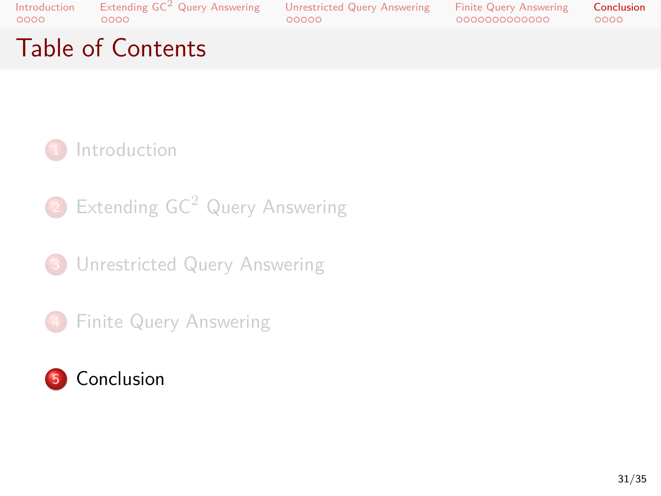. . . . Extending GC<sup>2</sup> Query Answering . . . . . Unrestricted Query Answering . . . . . . . . . . . . . Finite Query Answering

Conclusion<br>0000

# Table of Contents



2 Extending GC<sup>2</sup> Query Answering

<sup>3</sup> Unrestricted Query Answering

4 Finite Query Answering

## 5 Conclusion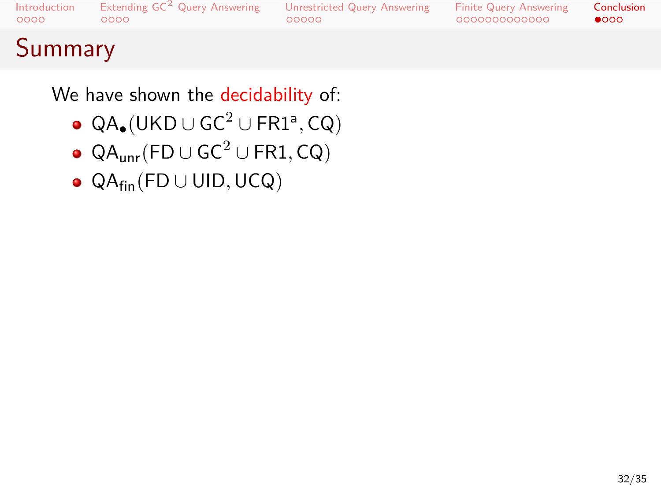Introduction<br>0000 Extending  $\mathsf{GC}^2$  Query Answering<br>0000

### Unrestricted Query Answering<br>00000

Finite Query Answering<br>000000000000

Conclusion<br> $\bullet$ 000

# Summary

We have shown the decidability of:

- QA*•*(UKD *<sup>∪</sup>* GC<sup>2</sup> *<sup>∪</sup>* FR1<sup>a</sup> *,* CQ)
- QAunr(FD *∪* GC<sup>2</sup> *∪* FR1*,* CQ)
- QAfin(FD *∪* UID*,*UCQ)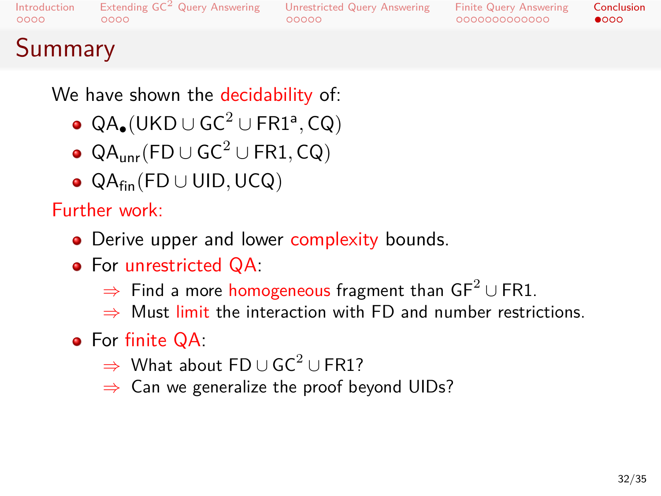### Extending GC<sup>2</sup> Query Answering Unrestricted Query Answering<br>00000 00000

Finite Query Answering<br>000000000000  $\bullet$  000 Conclusion

## Summary

We have shown the decidability of:

- QA*•*(UKD *<sup>∪</sup>* GC<sup>2</sup> *<sup>∪</sup>* FR1<sup>a</sup> *,* CQ)
- QAunr(FD *∪* GC<sup>2</sup> *∪* FR1*,* CQ)
- QAfin(FD *∪* UID*,*UCQ)

### Further work:

- Derive upper and lower complexity bounds.
- For unrestricted QA:
	- *⇒* Find a more homogeneous fragment than GF<sup>2</sup> *∪* FR1.
	- *⇒* Must limit the interaction with FD and number restrictions.
- For finite QA:
	- *⇒* What about FD *∪* GC<sup>2</sup> *∪* FR1?
	- *⇒* Can we generalize the proof beyond UIDs?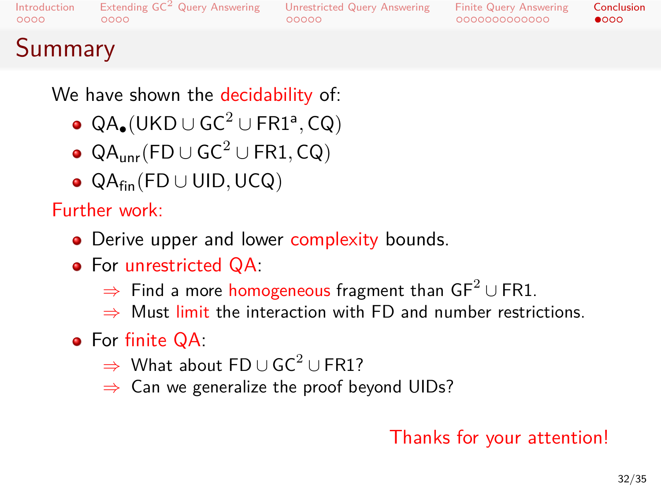### Extending GC<sup>2</sup> Query Answering Unrestricted Query Answering<br>00000 00000

Finite Query Answering<br>000000000000  $\bullet$  000 Conclusion

## Summary

We have shown the decidability of:

- QA*•*(UKD *<sup>∪</sup>* GC<sup>2</sup> *<sup>∪</sup>* FR1<sup>a</sup> *,* CQ)
- QAunr(FD *∪* GC<sup>2</sup> *∪* FR1*,* CQ)
- QAfin(FD *∪* UID*,*UCQ)

### Further work:

- Derive upper and lower complexity bounds.
- For unrestricted QA:
	- *⇒* Find a more homogeneous fragment than GF<sup>2</sup> *∪* FR1.
	- *⇒* Must limit the interaction with FD and number restrictions.
- For finite QA:
	- *⇒* What about FD *∪* GC<sup>2</sup> *∪* FR1?
	- *⇒* Can we generalize the proof beyond UIDs?

### Thanks for your attention!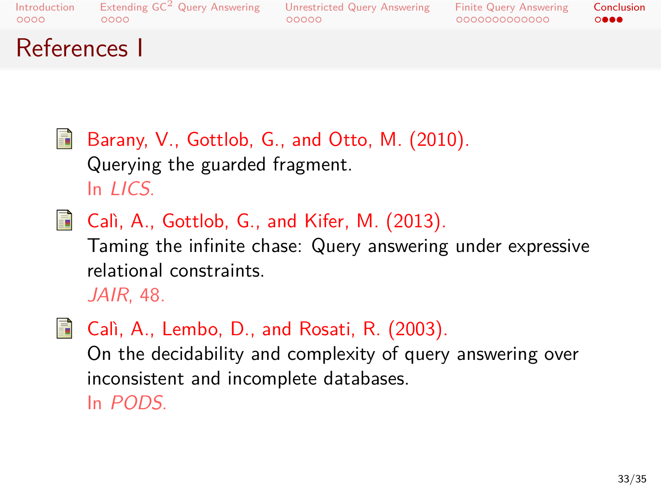### Extending  $\mathsf{GC}^2$  Query Answering<br>0000  $00000$ Unrestricted Query Answering

Finite Query Answering<br>000000000000  $\circ \bullet \bullet \bullet$ Conclusion

References I

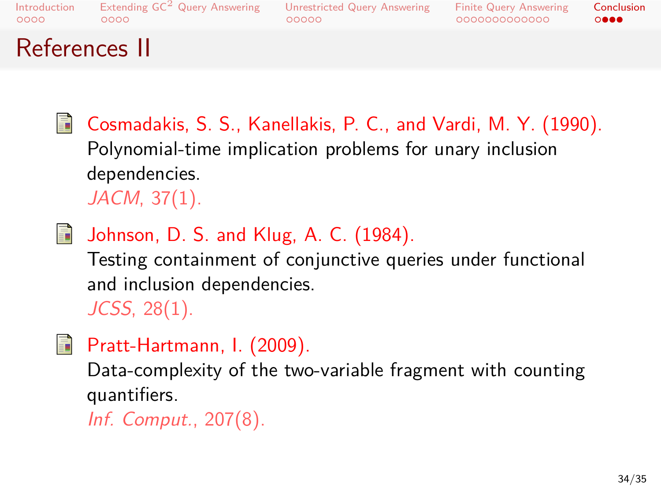. . . . Introduction . . . . Extending GC<sup>2</sup> Query Answering . . . . . Unrestricted Query Answering . . . . . . . . . . . . . Finite Query Answering . . . . Conclusion

# References II

|   | Cosmadakis, S. S., Kanellakis, P. C., and Vardi, M. Y. (1990).<br>Polynomial-time implication problems for unary inclusion<br>dependencies.<br>$JACM$ , 37 $(1)$ . |
|---|--------------------------------------------------------------------------------------------------------------------------------------------------------------------|
| 譶 | Johnson, D. S. and Klug, A. C. (1984).<br>Testing containment of conjunctive queries under functional<br>and inclusion dependencies.<br>$JCSS, 28(1)$ .            |
| F | Pratt-Hartmann, I. (2009).<br>Data-complexity of the two-variable fragment with counting<br>quantifiers.<br>Inf. Comput., 207(8).                                  |